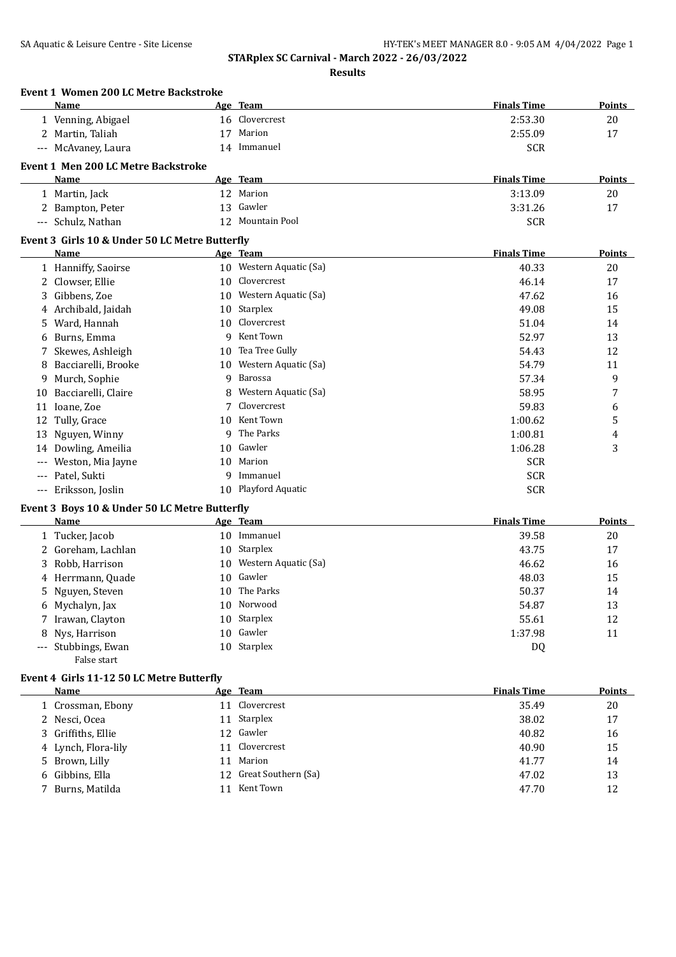|                                          | <b>Event 1 Women 200 LC Metre Backstroke</b>         |    |                         |                    |               |
|------------------------------------------|------------------------------------------------------|----|-------------------------|--------------------|---------------|
|                                          | Name                                                 |    | Age Team                | <b>Finals Time</b> | Points        |
|                                          | 1 Venning, Abigael                                   |    | 16 Clovercrest          | 2:53.30            | 20            |
|                                          | 2 Martin, Taliah                                     | 17 | Marion                  | 2:55.09            | 17            |
|                                          | --- McAvaney, Laura                                  |    | 14 Immanuel             | <b>SCR</b>         |               |
|                                          | <b>Event 1 Men 200 LC Metre Backstroke</b>           |    |                         |                    |               |
|                                          | Name                                                 |    | Age Team                | <b>Finals Time</b> | Points        |
|                                          | 1 Martin, Jack                                       |    | 12 Marion               | 3:13.09            | 20            |
|                                          | 2 Bampton, Peter                                     | 13 | Gawler                  | 3:31.26            | 17            |
|                                          | --- Schulz, Nathan                                   |    | 12 Mountain Pool        | <b>SCR</b>         |               |
|                                          | Event 3 Girls 10 & Under 50 LC Metre Butterfly       |    |                         |                    |               |
|                                          | Name                                                 |    | Age Team                | <b>Finals Time</b> | <b>Points</b> |
|                                          | 1 Hanniffy, Saoirse                                  |    | 10 Western Aquatic (Sa) | 40.33              | 20            |
|                                          | 2 Clowser, Ellie                                     | 10 | Clovercrest             | 46.14              | 17            |
| 3                                        | Gibbens, Zoe                                         | 10 | Western Aquatic (Sa)    | 47.62              | 16            |
| 4                                        | Archibald, Jaidah                                    | 10 | Starplex                | 49.08              | 15            |
| 5                                        | Ward, Hannah                                         | 10 | Clovercrest             | 51.04              | 14            |
| 6                                        | Burns, Emma                                          | 9  | Kent Town               | 52.97              | 13            |
| 7                                        | Skewes, Ashleigh                                     | 10 | Tea Tree Gully          | 54.43              | 12            |
| 8                                        | Bacciarelli, Brooke                                  | 10 | Western Aquatic (Sa)    | 54.79              | 11            |
| 9                                        | Murch, Sophie                                        | 9  | <b>Barossa</b>          | 57.34              | 9             |
| 10                                       | Bacciarelli, Claire                                  | 8  | Western Aquatic (Sa)    | 58.95              | 7             |
| 11                                       | Ioane, Zoe                                           | 7  | Clovercrest             | 59.83              | 6             |
| 12                                       | Tully, Grace                                         | 10 | Kent Town               | 1:00.62            | 5             |
| 13                                       | Nguyen, Winny                                        | q  | The Parks               | 1:00.81            | 4             |
| 14                                       | Dowling, Ameilia                                     | 10 | Gawler                  | 1:06.28            | 3             |
| $\hspace{0.05cm} \ldots \hspace{0.05cm}$ | Weston, Mia Jayne                                    | 10 | Marion                  | <b>SCR</b>         |               |
| $-\, -\, -$                              | Patel, Sukti                                         | 9  | Immanuel                | <b>SCR</b>         |               |
|                                          | --- Eriksson, Joslin                                 |    | 10 Playford Aquatic     | <b>SCR</b>         |               |
|                                          | Event 3 Boys 10 & Under 50 LC Metre Butterfly        |    |                         |                    |               |
|                                          | Name                                                 |    | Age Team                | <b>Finals Time</b> | Points        |
|                                          | 1 Tucker, Jacob                                      |    | 10 Immanuel             | 39.58              | 20            |
| 2                                        | Goreham, Lachlan                                     |    | 10 Starplex             | 43.75              | 17            |
| 3                                        | Robb, Harrison                                       | 10 | Western Aquatic (Sa)    | 46.62              | 16            |
| 4                                        | Herrmann, Quade                                      | 10 | Gawler                  | 48.03              | 15            |
| 5                                        | Nguyen, Steven                                       |    | 10 The Parks            | 50.37              | 14            |
|                                          | 6 Mychalyn, Jax                                      |    | 10 Norwood              | 54.87              | 13            |
|                                          | 7 Irawan, Clayton                                    | 10 | Starplex                | 55.61              | 12            |
| 8                                        | Nys, Harrison                                        | 10 | Gawler                  | 1:37.98            | 11            |
|                                          | --- Stubbings, Ewan<br>False start                   |    | 10 Starplex             | DQ                 |               |
|                                          |                                                      |    |                         |                    |               |
|                                          | Event 4 Girls 11-12 50 LC Metre Butterfly<br>$N = 1$ |    | $T_{0.2}$               | Pinala Tin         | $D - L + L$   |

| Name                | Age Team               | <b>Finals Time</b> | Points |
|---------------------|------------------------|--------------------|--------|
| 1 Crossman, Ebony   | 11 Clovercrest         | 35.49              | 20     |
| 2 Nesci, Ocea       | 11 Starplex            | 38.02              | 17     |
| 3 Griffiths, Ellie  | 12 Gawler              | 40.82              | 16     |
| 4 Lynch, Flora-lily | 11 Clovercrest         | 40.90              | 15     |
| 5 Brown, Lilly      | 11 Marion              | 41.77              | 14     |
| 6 Gibbins, Ella     | 12 Great Southern (Sa) | 47.02              | 13     |
| 7 Burns, Matilda    | 11 Kent Town           | 47.70              | 12     |
|                     |                        |                    |        |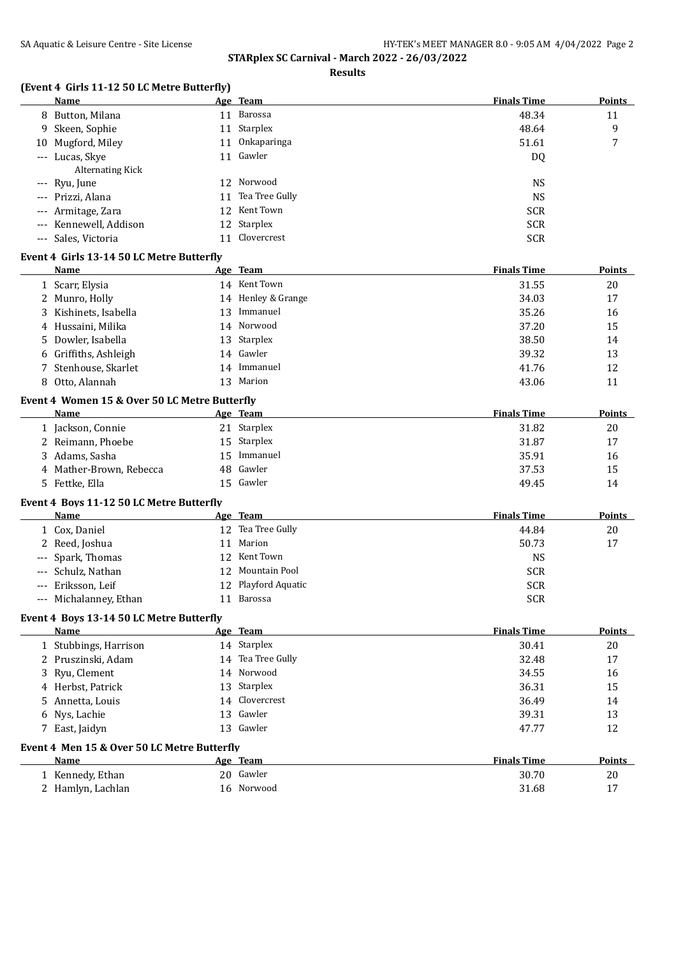**Results**

# **(Event 4 Girls 11-12 50 LC Metre Butterfly)**

|       | 3 11 12 50 BUTTCH & BUILLIN  <br>Name                 |    | Age Team            | <b>Finals Time</b> | Points        |
|-------|-------------------------------------------------------|----|---------------------|--------------------|---------------|
|       | 8 Button, Milana                                      |    | 11 Barossa          | 48.34              | 11            |
| 9     | Skeen, Sophie                                         |    | 11 Starplex         | 48.64              | 9             |
| 10    | Mugford, Miley                                        |    | 11 Onkaparinga      | 51.61              | 7             |
|       | --- Lucas, Skye<br>Alternating Kick                   |    | 11 Gawler           | DQ                 |               |
|       | --- Ryu, June                                         |    | 12 Norwood          | <b>NS</b>          |               |
| $---$ | Prizzi, Alana                                         |    | 11 Tea Tree Gully   | <b>NS</b>          |               |
| $---$ | Armitage, Zara                                        |    | 12 Kent Town        | <b>SCR</b>         |               |
|       | Kennewell, Addison                                    |    | 12 Starplex         | <b>SCR</b>         |               |
|       | --- Sales, Victoria                                   |    | 11 Clovercrest      | <b>SCR</b>         |               |
|       | Event 4 Girls 13-14 50 LC Metre Butterfly             |    |                     |                    |               |
|       | Name                                                  |    | Age Team            | <b>Finals Time</b> | Points        |
|       | 1 Scarr, Elysia                                       |    | 14 Kent Town        | 31.55              | 20            |
|       | 2 Munro, Holly                                        |    | 14 Henley & Grange  | 34.03              | 17            |
| 3     | Kishinets, Isabella                                   |    | 13 Immanuel         | 35.26              | 16            |
| 4     | Hussaini, Milika                                      |    | 14 Norwood          | 37.20              | 15            |
| 5     | Dowler, Isabella                                      |    | 13 Starplex         | 38.50              | 14            |
| 6     | Griffiths, Ashleigh                                   |    | 14 Gawler           | 39.32              | 13            |
| 7     | Stenhouse, Skarlet                                    |    | 14 Immanuel         | 41.76              | 12            |
| 8     | Otto, Alannah                                         |    | 13 Marion           | 43.06              | 11            |
|       | Event 4 Women 15 & Over 50 LC Metre Butterfly<br>Name |    | Age Team            | <b>Finals Time</b> | <b>Points</b> |
|       | 1 Jackson, Connie                                     |    | 21 Starplex         | 31.82              | 20            |
|       | 2 Reimann, Phoebe                                     |    | 15 Starplex         | 31.87              | 17            |
|       | 3 Adams, Sasha                                        | 15 | Immanuel            | 35.91              | 16            |
|       | 4 Mather-Brown, Rebecca                               |    | 48 Gawler           | 37.53              | 15            |
|       | 5 Fettke, Ella                                        |    | 15 Gawler           | 49.45              | 14            |
|       | Event 4 Boys 11-12 50 LC Metre Butterfly              |    |                     |                    |               |
|       | Name                                                  |    | Age Team            | <b>Finals Time</b> | Points        |
|       | 1 Cox, Daniel                                         |    | 12 Tea Tree Gully   | 44.84              | 20            |
|       | 2 Reed, Joshua                                        |    | 11 Marion           | 50.73              | 17            |
| ---   | Spark, Thomas                                         |    | 12 Kent Town        | <b>NS</b>          |               |
| $---$ | Schulz, Nathan                                        |    | 12 Mountain Pool    | <b>SCR</b>         |               |
| $---$ | Eriksson, Leif                                        |    | 12 Playford Aquatic | <b>SCR</b>         |               |
|       | Michalanney, Ethan                                    |    | 11 Barossa          | <b>SCR</b>         |               |
|       | Event 4 Boys 13-14 50 LC Metre Butterfly              |    |                     |                    |               |
|       | Name                                                  |    | Age Team            | <b>Finals Time</b> | <b>Points</b> |
|       | 1 Stubbings, Harrison                                 |    | 14 Starplex         | 30.41              | 20            |
|       | 2 Pruszinski, Adam                                    |    | 14 Tea Tree Gully   | 32.48              | 17            |
| 3     | Ryu, Clement                                          |    | 14 Norwood          | 34.55              | 16            |
|       | 4 Herbst, Patrick                                     |    | 13 Starplex         | 36.31              | 15            |
| 5.    | Annetta, Louis                                        |    | 14 Clovercrest      | 36.49              | 14            |
| 6     | Nys, Lachie                                           |    | 13 Gawler           | 39.31              | 13            |
|       | 7 East, Jaidyn                                        |    | 13 Gawler           | 47.77              | 12            |
|       | Event 4 Men 15 & Over 50 LC Metre Butterfly           |    |                     |                    |               |
|       | Name                                                  |    | Age Team            | <b>Finals Time</b> | <b>Points</b> |
|       | 1 Kennedy, Ethan                                      |    | 20 Gawler           | 30.70              | 20            |
|       | 2 Hamlyn, Lachlan                                     |    | 16 Norwood          | 31.68              | 17            |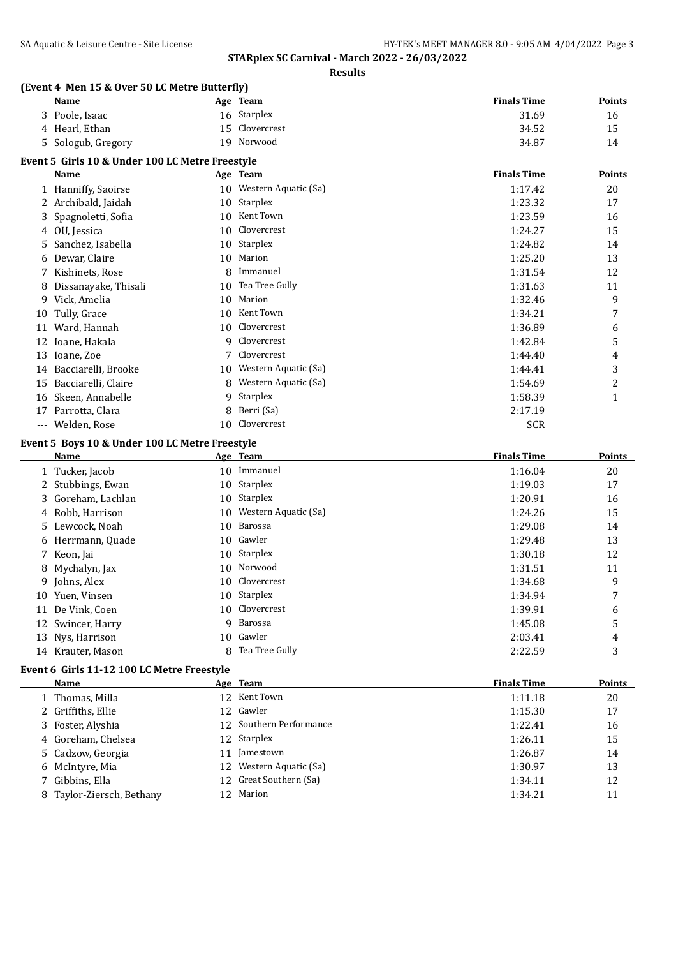**Results**

#### **(Event 4 Men 15 & Over 50 LC Metre Butterfly)**

|    | Name                                            |    | Age Team                | <b>Finals Time</b> | Points        |
|----|-------------------------------------------------|----|-------------------------|--------------------|---------------|
|    | 3 Poole, Isaac                                  |    | 16 Starplex             | 31.69              | 16            |
|    | 4 Hearl, Ethan                                  | 15 | Clovercrest             | 34.52              | 15            |
|    | 5 Sologub, Gregory                              |    | 19 Norwood              | 34.87              | 14            |
|    | Event 5 Girls 10 & Under 100 LC Metre Freestyle |    |                         |                    |               |
|    | <b>Name</b>                                     |    | <u>Age Team</u>         | <b>Finals Time</b> | <b>Points</b> |
|    | 1 Hanniffy, Saoirse                             |    | 10 Western Aquatic (Sa) | 1:17.42            | 20            |
|    | 2 Archibald, Jaidah                             | 10 | Starplex                | 1:23.32            | 17            |
| 3. | Spagnoletti, Sofia                              | 10 | Kent Town               | 1:23.59            | 16            |
|    | 4 OU, Jessica                                   | 10 | Clovercrest             | 1:24.27            | 15            |
| 5. | Sanchez, Isabella                               | 10 | Starplex                | 1:24.82            | 14            |
| 6  | Dewar, Claire                                   | 10 | Marion                  | 1:25.20            | 13            |
|    | 7 Kishinets, Rose                               | 8  | Immanuel                | 1:31.54            | 12            |
| 8  | Dissanayake, Thisali                            | 10 | Tea Tree Gully          | 1:31.63            | 11            |
|    | 9 Vick, Amelia                                  | 10 | Marion                  | 1:32.46            | 9             |
| 10 | Tully, Grace                                    | 10 | Kent Town               | 1:34.21            | 7             |
| 11 | Ward, Hannah                                    | 10 | Clovercrest             | 1:36.89            | 6             |
| 12 | Ioane, Hakala                                   | 9  | Clovercrest             | 1:42.84            | 5             |
|    | 13 Ioane, Zoe                                   | 7  | Clovercrest             | 1:44.40            | 4             |
|    | 14 Bacciarelli, Brooke                          | 10 | Western Aquatic (Sa)    | 1:44.41            | 3             |
|    | 15 Bacciarelli, Claire                          | 8  | Western Aquatic (Sa)    | 1:54.69            | 2             |
|    | 16 Skeen, Annabelle                             | 9  | Starplex                | 1:58.39            | $\mathbf{1}$  |
|    | 17 Parrotta, Clara                              | 8  | Berri (Sa)              | 2:17.19            |               |
|    | --- Welden, Rose                                | 10 | Clovercrest             | <b>SCR</b>         |               |
|    | Event 5 Boys 10 & Under 100 LC Metre Freestyle  |    |                         |                    |               |
|    | <b>Name</b>                                     |    | Age Team                | <b>Finals Time</b> | <b>Points</b> |
|    | 1 Tucker, Jacob                                 |    | 10 Immanuel             | 1:16.04            | 20            |
| 2  | Stubbings, Ewan                                 | 10 | Starplex                | 1:19.03            | 17            |
| 3  | Goreham, Lachlan                                | 10 | Starplex                | 1:20.91            | 16            |
| 4  | Robb, Harrison                                  | 10 | Western Aquatic (Sa)    | 1:24.26            | 15            |
|    | 5 Lewcock, Noah                                 | 10 | Barossa                 | 1:29.08            | 14            |
| 6  | Herrmann, Quade                                 | 10 | Gawler                  | 1:29.48            | 13            |
|    | 7 Keon, Jai                                     | 10 | Starplex                | 1:30.18            | 12            |
|    | 8 Mychalyn, Jax                                 | 10 | Norwood                 | 1:31.51            | 11            |
|    | 9 Johns, Alex                                   |    | 10 Clovercrest          | 1:34.68            | 9             |
|    | 10 Yuen, Vinsen                                 |    | 10 Starplex             | 1:34.94            | 7             |
|    | 11 De Vink, Coen                                |    | 10 Clovercrest          | 1:39.91            | 6             |
|    | 12 Swincer, Harry                               | 9  | Barossa                 | 1:45.08            | 5             |
|    | 13 Nys, Harrison                                | 10 | Gawler                  | 2:03.41            | 4             |
|    | 14 Krauter, Mason                               | 8  | Tea Tree Gully          | 2:22.59            | 3             |
|    | Event 6 Girls 11-12 100 LC Metre Freestyle      |    |                         |                    |               |
|    | Name                                            |    | Age Team                | <b>Finals Time</b> | <b>Points</b> |
|    | 1 Thomas, Milla                                 |    | 12 Kent Town            | 1:11.18            | $20\,$        |
|    | 2 Griffiths, Ellie                              |    | 12 Gawler               | 1:15.30            | $17\,$        |

3 Foster, Alyshia 12 Southern Performance 1:22.41 16 4 Goreham, Chelsea 12 Starplex 1:26.11 15 5 Cadzow, Georgia **11 Jamestown** 11 Jamestown 1:26.87 14 6 McIntyre, Mia 12 Western Aquatic (Sa) 1:30.97 13 7 Gibbins, Ella 12 Great Southern (Sa) 1:34.11 12 8 Taylor-Ziersch, Bethany 12 Marion 12 Marion 1:34.21 11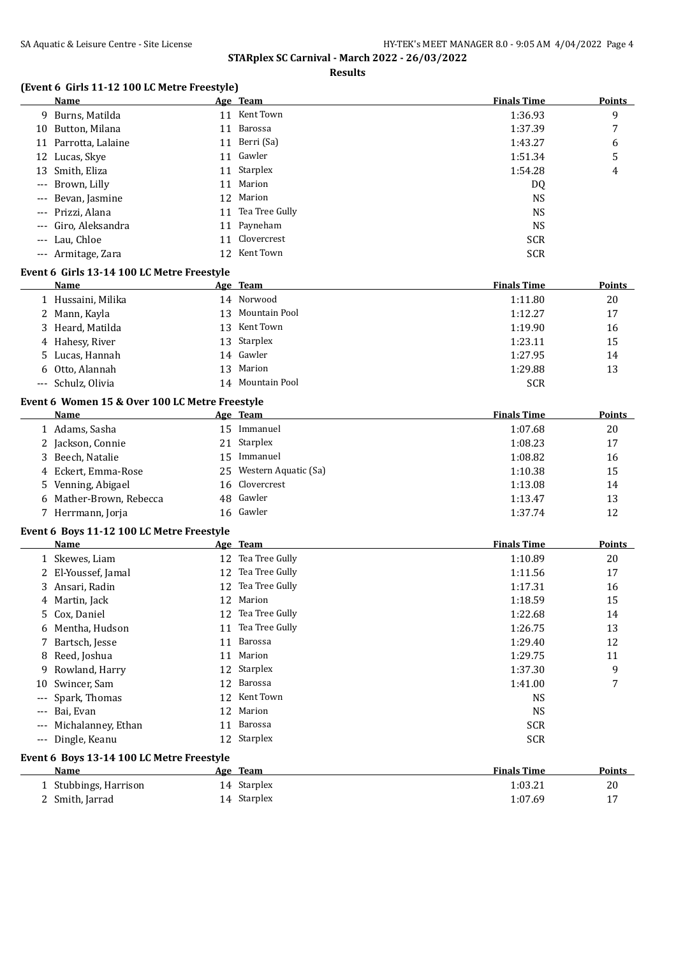**Results**

## **(Event 6 Girls 11-12 100 LC Metre Freestyle)**

|                     | Name                                               |    | Age Team                | <b>Finals Time</b> | <b>Points</b> |
|---------------------|----------------------------------------------------|----|-------------------------|--------------------|---------------|
|                     | 9 Burns, Matilda                                   |    | 11 Kent Town            | 1:36.93            | 9             |
|                     | 10 Button, Milana                                  | 11 | Barossa                 | 1:37.39            | 7             |
|                     | 11 Parrotta, Lalaine                               | 11 | Berri (Sa)              | 1:43.27            | 6             |
|                     | 12 Lucas, Skye                                     |    | 11 Gawler               | 1:51.34            | 5             |
| 13                  | Smith, Eliza                                       | 11 | Starplex                | 1:54.28            | 4             |
| $---$               | Brown, Lilly                                       | 11 | Marion                  | DQ                 |               |
|                     | Bevan, Jasmine                                     | 12 | Marion                  | <b>NS</b>          |               |
| ---                 | Prizzi, Alana                                      |    | 11 Tea Tree Gully       | <b>NS</b>          |               |
|                     | Giro, Aleksandra                                   | 11 | Payneham                | <b>NS</b>          |               |
| ---                 | Lau, Chloe                                         | 11 | Clovercrest             | <b>SCR</b>         |               |
|                     | --- Armitage, Zara                                 |    | 12 Kent Town            | <b>SCR</b>         |               |
|                     |                                                    |    |                         |                    |               |
|                     | Event 6 Girls 13-14 100 LC Metre Freestyle<br>Name |    | Age Team                | <b>Finals Time</b> | Points        |
|                     |                                                    |    | 14 Norwood              | 1:11.80            | 20            |
|                     | 1 Hussaini, Milika                                 | 13 | Mountain Pool           | 1:12.27            |               |
|                     | 2 Mann, Kayla                                      |    | Kent Town               |                    | 17            |
|                     | 3 Heard, Matilda                                   | 13 |                         | 1:19.90            | 16            |
|                     | 4 Hahesy, River                                    | 13 | Starplex<br>Gawler      | 1:23.11            | 15            |
| 5                   | Lucas, Hannah                                      | 14 |                         | 1:27.95            | 14            |
|                     | 6 Otto, Alannah                                    | 13 | Marion                  | 1:29.88            | 13            |
|                     | --- Schulz, Olivia                                 |    | 14 Mountain Pool        | <b>SCR</b>         |               |
|                     | Event 6 Women 15 & Over 100 LC Metre Freestyle     |    |                         |                    |               |
|                     | Name                                               |    | Age Team                | <b>Finals Time</b> | Points        |
|                     | 1 Adams, Sasha                                     |    | 15 Immanuel             | 1:07.68            | 20            |
|                     | 2 Jackson, Connie                                  | 21 | Starplex                | 1:08.23            | 17            |
|                     | 3 Beech, Natalie                                   | 15 | Immanuel                | 1:08.82            | 16            |
|                     | 4 Eckert, Emma-Rose                                | 25 | Western Aquatic (Sa)    | 1:10.38            | 15            |
| 5.                  | Venning, Abigael                                   | 16 | Clovercrest             | 1:13.08            | 14            |
|                     | 6 Mather-Brown, Rebecca                            | 48 | Gawler                  | 1:13.47            | 13            |
|                     | 7 Herrmann, Jorja                                  |    | 16 Gawler               | 1:37.74            | 12            |
|                     | Event 6 Boys 11-12 100 LC Metre Freestyle          |    |                         |                    |               |
|                     | <b>Name</b>                                        |    | Age Team                | <b>Finals Time</b> | <b>Points</b> |
|                     | 1 Skewes, Liam                                     |    | 12 Tea Tree Gully       | 1:10.89            | 20            |
|                     | 2 El-Youssef, Jamal                                |    | 12 Tea Tree Gully       | 1:11.56            | 17            |
|                     | 3 Ansari, Radin                                    |    | 12 Tea Tree Gully       | 1:17.31            | 16            |
|                     | 4 Martin, Jack                                     |    | 12 Marion               | 1:18.59            | 15            |
|                     | 5 Cox, Daniel                                      |    | 12 Tea Tree Gully       | 1:22.68            | 14            |
|                     | 6 Mentha, Hudson                                   |    | 11 Tea Tree Gully       | 1:26.75            | 13            |
| 7                   | Bartsch, Jesse                                     | 11 | <b>Barossa</b>          | 1:29.40            | 12            |
| 8                   | Reed, Joshua                                       | 11 | Marion                  | 1:29.75            | 11            |
| 9                   | Rowland, Harry                                     | 12 | Starplex                | 1:37.30            | 9             |
| 10                  | Swincer, Sam                                       | 12 | Barossa                 | 1:41.00            | 7             |
| $---$               | Spark, Thomas                                      | 12 | Kent Town               | <b>NS</b>          |               |
| $---$               | Bai, Evan                                          | 12 | Marion                  | <b>NS</b>          |               |
| $---$               | Michalanney, Ethan                                 | 11 | Barossa                 | <b>SCR</b>         |               |
| $\qquad \qquad - -$ | Dingle, Keanu                                      |    | 12 Starplex             | <b>SCR</b>         |               |
|                     |                                                    |    |                         |                    |               |
|                     | Event 6 Boys 13-14 100 LC Metre Freestyle<br>Name  |    |                         | <b>Finals Time</b> |               |
|                     |                                                    |    | Age Team<br>14 Starplex |                    | <u>Points</u> |
|                     | 1 Stubbings, Harrison                              |    | 14 Starplex             | 1:03.21            | 20            |
|                     | 2 Smith, Jarrad                                    |    |                         | 1:07.69            | 17            |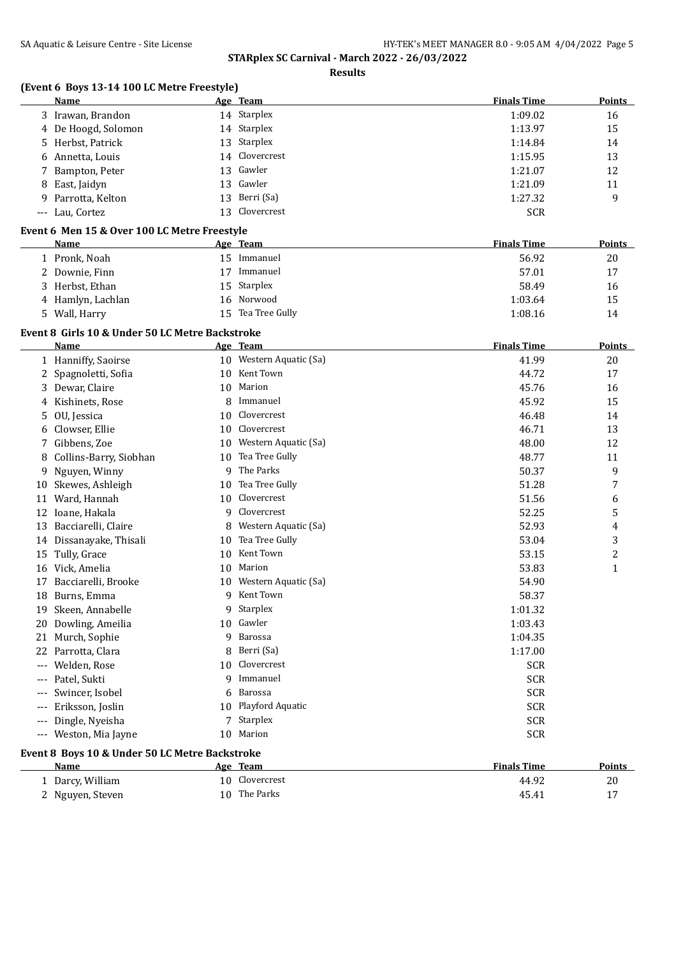|  |  |  | (Event 6 Boys 13-14 100 LC Metre Freestyle) |
|--|--|--|---------------------------------------------|
|--|--|--|---------------------------------------------|

|       | Name                                            |    | Age Team                | <b>Finals Time</b> | <b>Points</b>  |
|-------|-------------------------------------------------|----|-------------------------|--------------------|----------------|
|       | 3 Irawan, Brandon                               |    | 14 Starplex             | 1:09.02            | 16             |
|       | 4 De Hoogd, Solomon                             |    | 14 Starplex             | 1:13.97            | 15             |
| 5     | Herbst, Patrick                                 | 13 | Starplex                | 1:14.84            | 14             |
| 6     | Annetta, Louis                                  | 14 | Clovercrest             | 1:15.95            | 13             |
| 7     | Bampton, Peter                                  | 13 | Gawler                  | 1:21.07            | 12             |
| 8     | East, Jaidyn                                    | 13 | Gawler                  | 1:21.09            | 11             |
| 9     | Parrotta, Kelton                                | 13 | Berri (Sa)              | 1:27.32            | 9              |
|       | --- Lau, Cortez                                 | 13 | Clovercrest             | <b>SCR</b>         |                |
|       | Event 6 Men 15 & Over 100 LC Metre Freestyle    |    |                         |                    |                |
|       | Name                                            |    | Age Team                | <b>Finals Time</b> | <b>Points</b>  |
|       | 1 Pronk, Noah                                   |    | 15 Immanuel             | 56.92              | 20             |
|       | 2 Downie, Finn                                  |    | 17 Immanuel             | 57.01              | 17             |
|       | 3 Herbst, Ethan                                 | 15 | Starplex                | 58.49              | 16             |
|       | 4 Hamlyn, Lachlan                               | 16 | Norwood                 | 1:03.64            | 15             |
|       | 5 Wall, Harry                                   |    | 15 Tea Tree Gully       | 1:08.16            | 14             |
|       |                                                 |    |                         |                    |                |
|       | Event 8 Girls 10 & Under 50 LC Metre Backstroke |    |                         |                    |                |
|       | Name                                            |    | Age Team                | <b>Finals Time</b> | Points         |
|       | 1 Hanniffy, Saoirse                             |    | 10 Western Aquatic (Sa) | 41.99              | 20             |
|       | 2 Spagnoletti, Sofia                            |    | 10 Kent Town            | 44.72              | 17             |
|       | 3 Dewar, Claire                                 | 10 | Marion                  | 45.76              | 16             |
| 4     | Kishinets, Rose                                 | 8  | Immanuel                | 45.92              | 15             |
| 5.    | OU, Jessica                                     | 10 | Clovercrest             | 46.48              | 14             |
| 6     | Clowser, Ellie                                  | 10 | Clovercrest             | 46.71              | 13             |
| 7     | Gibbens, Zoe                                    | 10 | Western Aquatic (Sa)    | 48.00              | 12             |
| 8     | Collins-Barry, Siobhan                          | 10 | Tea Tree Gully          | 48.77              | 11             |
| 9     | Nguyen, Winny                                   | 9  | The Parks               | 50.37              | 9              |
|       | 10 Skewes, Ashleigh                             | 10 | Tea Tree Gully          | 51.28              | 7              |
|       | 11 Ward, Hannah                                 | 10 | Clovercrest             | 51.56              | 6              |
|       | 12 Ioane, Hakala                                | 9  | Clovercrest             | 52.25              | 5              |
|       | 13 Bacciarelli, Claire                          | 8  | Western Aquatic (Sa)    | 52.93              | 4              |
|       | 14 Dissanayake, Thisali                         | 10 | Tea Tree Gully          | 53.04              | 3              |
|       | 15 Tully, Grace                                 | 10 | Kent Town               | 53.15              | $\overline{c}$ |
|       | 16 Vick, Amelia                                 | 10 | Marion                  | 53.83              | $\mathbf{1}$   |
| 17    | Bacciarelli, Brooke                             | 10 | Western Aquatic (Sa)    | 54.90              |                |
|       | 18 Burns, Emma                                  | 9  | Kent Town               | 58.37              |                |
| 19    | Skeen, Annabelle                                |    | 9 Starplex              | 1:01.32            |                |
| 20    | Dowling, Ameilia                                | 10 | Gawler                  | 1:03.43            |                |
| 21    | Murch, Sophie                                   | 9  | Barossa                 | 1:04.35            |                |
| 22    | Parrotta, Clara                                 | 8  | Berri (Sa)              | 1:17.00            |                |
|       | Welden, Rose                                    | 10 | Clovercrest             | <b>SCR</b>         |                |
|       | Patel, Sukti                                    | 9  | Immanuel                | <b>SCR</b>         |                |
| $---$ | Swincer, Isobel                                 | 6  | Barossa                 | <b>SCR</b>         |                |
| $---$ | Eriksson, Joslin                                | 10 | Playford Aquatic        | SCR                |                |
| $---$ | Dingle, Nyeisha                                 |    | 7 Starplex              | <b>SCR</b>         |                |
| $---$ | Weston, Mia Jayne                               | 10 | Marion                  | SCR                |                |
|       |                                                 |    |                         |                    |                |
|       | Event 8 Boys 10 & Under 50 LC Metre Backstroke  |    |                         |                    |                |
|       | <b>Name</b>                                     |    | Age Team                | <b>Finals Time</b> | <b>Points</b>  |
|       | 1 Darcy, William                                | 10 | Clovercrest             | 44.92              | 20             |
|       | 2 Nguyen, Steven                                |    | 10 The Parks            | 45.41              | 17             |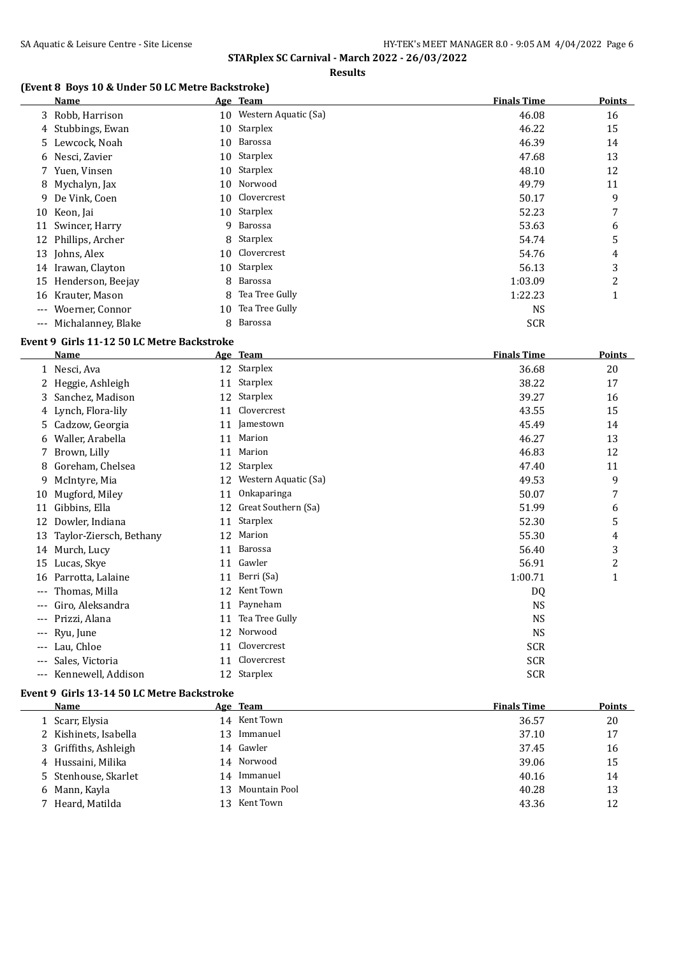#### **Results**

## **(Event 8 Boys 10 & Under 50 LC Metre Backstroke)**

|       | Name                 |    | Age Team                | <b>Finals Time</b> | Points |
|-------|----------------------|----|-------------------------|--------------------|--------|
|       | 3 Robb, Harrison     |    | 10 Western Aquatic (Sa) | 46.08              | 16     |
|       | 4 Stubbings, Ewan    |    | 10 Starplex             | 46.22              | 15     |
|       | 5 Lewcock, Noah      |    | 10 Barossa              | 46.39              | 14     |
|       | 6 Nesci, Zavier      |    | 10 Starplex             | 47.68              | 13     |
|       | 7 Yuen, Vinsen       |    | 10 Starplex             | 48.10              | 12     |
|       | 8 Mychalyn, Jax      |    | 10 Norwood              | 49.79              | 11     |
|       | 9 De Vink, Coen      |    | 10 Clovercrest          | 50.17              | 9      |
|       | 10 Keon, Jai         |    | 10 Starplex             | 52.23              | 7      |
| 11    | Swincer, Harry       | 9  | Barossa                 | 53.63              | 6      |
| 12    | Phillips, Archer     |    | 8 Starplex              | 54.74              | 5      |
|       | 13 Johns, Alex       |    | 10 Clovercrest          | 54.76              | 4      |
|       | 14 Irawan, Clayton   |    | 10 Starplex             | 56.13              | 3      |
|       | 15 Henderson, Beejay | 8  | Barossa                 | 1:03.09            | 2      |
| 16    | Krauter, Mason       | 8  | Tea Tree Gully          | 1:22.23            | 1      |
| $---$ | Woerner, Connor      | 10 | Tea Tree Gully          | <b>NS</b>          |        |
| $---$ | Michalanney, Blake   | 8  | Barossa                 | <b>SCR</b>         |        |

### **Event 9 Girls 11-12 50 LC Metre Backstroke**

|       | Name                    |    | Age Team             | <b>Finals Time</b> | Points |
|-------|-------------------------|----|----------------------|--------------------|--------|
|       | 1 Nesci, Ava            | 12 | Starplex             | 36.68              | 20     |
|       | 2 Heggie, Ashleigh      | 11 | Starplex             | 38.22              | 17     |
| 3     | Sanchez, Madison        | 12 | Starplex             | 39.27              | 16     |
|       | 4 Lynch, Flora-lily     | 11 | Clovercrest          | 43.55              | 15     |
| 5.    | Cadzow, Georgia         | 11 | Jamestown            | 45.49              | 14     |
| 6     | Waller, Arabella        | 11 | Marion               | 46.27              | 13     |
|       | Brown, Lilly            | 11 | Marion               | 46.83              | 12     |
| 8     | Goreham, Chelsea        | 12 | Starplex             | 47.40              | 11     |
| 9.    | McIntyre, Mia           | 12 | Western Aquatic (Sa) | 49.53              | 9      |
| 10    | Mugford, Miley          | 11 | Onkaparinga          | 50.07              | 7      |
| 11    | Gibbins, Ella           | 12 | Great Southern (Sa)  | 51.99              | 6      |
| 12    | Dowler, Indiana         | 11 | Starplex             | 52.30              | 5      |
| 13    | Taylor-Ziersch, Bethany | 12 | Marion               | 55.30              | 4      |
| 14    | Murch, Lucy             | 11 | Barossa              | 56.40              | 3      |
| 15    | Lucas, Skye             | 11 | Gawler               | 56.91              | 2      |
| 16    | Parrotta, Lalaine       | 11 | Berri (Sa)           | 1:00.71            | 1      |
| ---   | Thomas, Milla           | 12 | Kent Town            | DQ                 |        |
| ---   | Giro, Aleksandra        | 11 | Payneham             | <b>NS</b>          |        |
| ---   | Prizzi, Alana           | 11 | Tea Tree Gully       | <b>NS</b>          |        |
| ---   | Ryu, June               | 12 | Norwood              | <b>NS</b>          |        |
| $---$ | Lau, Chloe              | 11 | Clovercrest          | <b>SCR</b>         |        |
| $---$ | Sales, Victoria         | 11 | Clovercrest          | SCR                |        |
| ---   | Kennewell, Addison      |    | 12 Starplex          | <b>SCR</b>         |        |

#### **Event 9 Girls 13-14 50 LC Metre Backstroke**

| Name                  |     | Age Team         | <b>Finals Time</b> | <b>Points</b> |
|-----------------------|-----|------------------|--------------------|---------------|
| 1 Scarr, Elysia       |     | 14 Kent Town     | 36.57              | 20            |
| 2 Kishinets, Isabella | 13  | Immanuel         | 37.10              | 17            |
| 3 Griffiths, Ashleigh |     | 14 Gawler        | 37.45              | 16            |
| 4 Hussaini, Milika    |     | 14 Norwood       | 39.06              | 15            |
| 5 Stenhouse, Skarlet  | 14  | Immanuel         | 40.16              | 14            |
| 6 Mann, Kayla         |     | 13 Mountain Pool | 40.28              | 13            |
| 7 Heard, Matilda      | 13. | Kent Town        | 43.36              | 12            |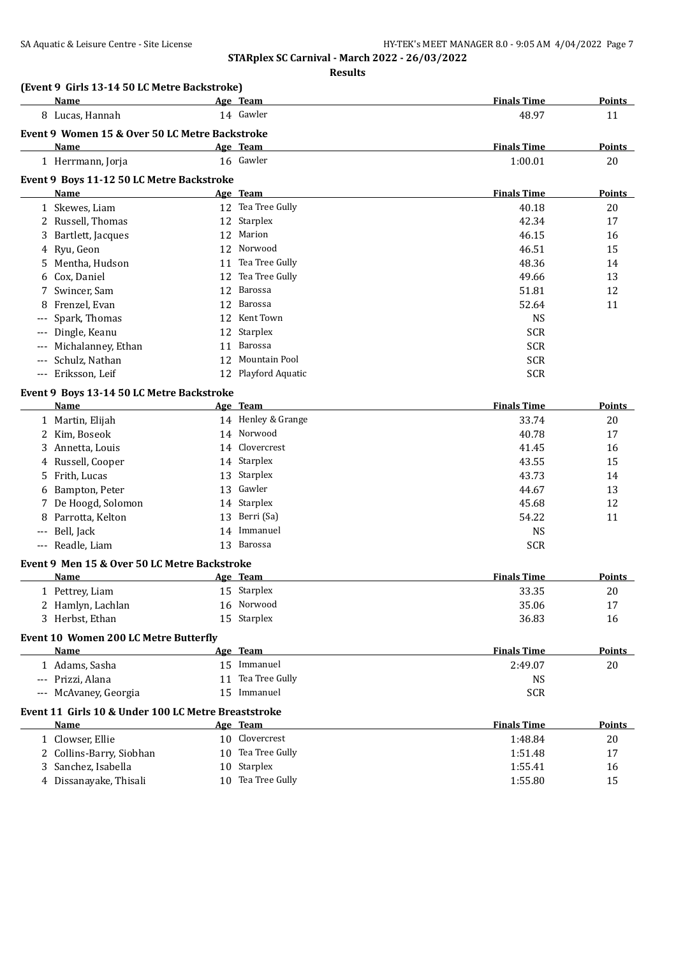| Name<br>Age Team<br>14 Gawler<br>8 Lucas, Hannah<br>48.97<br>11<br>Event 9 Women 15 & Over 50 LC Metre Backstroke<br><b>Finals Time</b><br>Name<br>Age Team<br><b>Points</b><br>16 Gawler<br>1:00.01<br>20<br>1 Herrmann, Jorja<br>Event 9 Boys 11-12 50 LC Metre Backstroke<br><b>Finals Time</b><br>Age Team<br>Points<br>Name<br>12 Tea Tree Gully<br>1 Skewes, Liam<br>40.18<br>20<br>2 Russell, Thomas<br>12 Starplex<br>42.34<br>17<br>Marion<br>12<br>46.15<br>Bartlett, Jacques<br>16<br>3<br>Norwood<br>46.51<br>4 Ryu, Geon<br>15<br>12<br>Tea Tree Gully<br>48.36<br>Mentha, Hudson<br>11<br>14<br>5.<br>Tea Tree Gully<br>49.66<br>13<br>6 Cox, Daniel<br>12<br>Barossa<br>51.81<br>Swincer, Sam<br>12<br>12<br>7<br>Barossa<br>52.64<br>Frenzel, Evan<br>11<br>12<br>8<br>Spark, Thomas<br>12 Kent Town<br><b>NS</b><br>Starplex<br>Dingle, Keanu<br>12<br><b>SCR</b><br><b>SCR</b><br>Michalanney, Ethan<br>Barossa<br>11<br>Mountain Pool<br><b>SCR</b><br>Schulz, Nathan<br>12<br><b>SCR</b><br>Eriksson, Leif<br>12 Playford Aquatic<br>$---$<br>Event 9 Boys 13-14 50 LC Metre Backstroke<br><b>Finals Time</b><br>Name<br>Age Team<br>Points<br>14 Henley & Grange<br>1 Martin, Elijah<br>33.74<br>20<br>2 Kim, Boseok<br>14 Norwood<br>40.78<br>17<br>14 Clovercrest<br>41.45<br>3 Annetta, Louis<br>16<br>14 Starplex<br>43.55<br>15<br>4 Russell, Cooper<br>13 Starplex<br>5 Frith, Lucas<br>43.73<br>14<br>13 Gawler<br>6 Bampton, Peter<br>44.67<br>13<br>7 De Hoogd, Solomon<br>14 Starplex<br>45.68<br>12<br>13 Berri (Sa)<br>Parrotta, Kelton<br>54.22<br>11<br>8<br>14 Immanuel<br>--- Bell, Jack<br><b>NS</b><br>13 Barossa<br>--- Readle, Liam<br><b>SCR</b><br>Event 9 Men 15 & Over 50 LC Metre Backstroke<br><b>Finals Time</b><br>Name<br>Age Team<br><b>Points</b><br>15 Starplex<br>33.35<br>$20\,$<br>1 Pettrey, Liam<br>16 Norwood<br>2 Hamlyn, Lachlan<br>35.06<br>17<br>15 Starplex<br>36.83<br>3 Herbst, Ethan<br>16<br>Event 10 Women 200 LC Metre Butterfly<br>Age Team<br><b>Finals Time</b><br><b>Points</b><br>Name<br>15 Immanuel<br>1 Adams, Sasha<br>2:49.07<br>20<br>11 Tea Tree Gully<br>--- Prizzi, Alana<br><b>NS</b><br>15 Immanuel<br>--- McAvaney, Georgia<br><b>SCR</b><br>Event 11 Girls 10 & Under 100 LC Metre Breaststroke<br><b>Finals Time</b><br><b>Name</b><br>Age Team<br><b>Points</b><br>10 Clovercrest<br>1 Clowser, Ellie<br>1:48.84<br>20<br>10 Tea Tree Gully<br>2 Collins-Barry, Siobhan<br>1:51.48<br>17<br>10 Starplex<br>Sanchez, Isabella<br>1:55.41<br>16<br>3<br>10 Tea Tree Gully<br>4 Dissanayake, Thisali<br>1:55.80<br>15 | (Event 9 Girls 13-14 50 LC Metre Backstroke) |  |                    |        |
|--------------------------------------------------------------------------------------------------------------------------------------------------------------------------------------------------------------------------------------------------------------------------------------------------------------------------------------------------------------------------------------------------------------------------------------------------------------------------------------------------------------------------------------------------------------------------------------------------------------------------------------------------------------------------------------------------------------------------------------------------------------------------------------------------------------------------------------------------------------------------------------------------------------------------------------------------------------------------------------------------------------------------------------------------------------------------------------------------------------------------------------------------------------------------------------------------------------------------------------------------------------------------------------------------------------------------------------------------------------------------------------------------------------------------------------------------------------------------------------------------------------------------------------------------------------------------------------------------------------------------------------------------------------------------------------------------------------------------------------------------------------------------------------------------------------------------------------------------------------------------------------------------------------------------------------------------------------------------------------------------------------------------------------------------------------------------------------------------------------------------------------------------------------------------------------------------------------------------------------------------------------------------------------------------------------------------------------------------------------------------------------------------------------------------------------------------------------------------------------------------------------------------------------------------------------------------------------------------------------|----------------------------------------------|--|--------------------|--------|
|                                                                                                                                                                                                                                                                                                                                                                                                                                                                                                                                                                                                                                                                                                                                                                                                                                                                                                                                                                                                                                                                                                                                                                                                                                                                                                                                                                                                                                                                                                                                                                                                                                                                                                                                                                                                                                                                                                                                                                                                                                                                                                                                                                                                                                                                                                                                                                                                                                                                                                                                                                                                              |                                              |  | <b>Finals Time</b> | Points |
|                                                                                                                                                                                                                                                                                                                                                                                                                                                                                                                                                                                                                                                                                                                                                                                                                                                                                                                                                                                                                                                                                                                                                                                                                                                                                                                                                                                                                                                                                                                                                                                                                                                                                                                                                                                                                                                                                                                                                                                                                                                                                                                                                                                                                                                                                                                                                                                                                                                                                                                                                                                                              |                                              |  |                    |        |
|                                                                                                                                                                                                                                                                                                                                                                                                                                                                                                                                                                                                                                                                                                                                                                                                                                                                                                                                                                                                                                                                                                                                                                                                                                                                                                                                                                                                                                                                                                                                                                                                                                                                                                                                                                                                                                                                                                                                                                                                                                                                                                                                                                                                                                                                                                                                                                                                                                                                                                                                                                                                              |                                              |  |                    |        |
|                                                                                                                                                                                                                                                                                                                                                                                                                                                                                                                                                                                                                                                                                                                                                                                                                                                                                                                                                                                                                                                                                                                                                                                                                                                                                                                                                                                                                                                                                                                                                                                                                                                                                                                                                                                                                                                                                                                                                                                                                                                                                                                                                                                                                                                                                                                                                                                                                                                                                                                                                                                                              |                                              |  |                    |        |
|                                                                                                                                                                                                                                                                                                                                                                                                                                                                                                                                                                                                                                                                                                                                                                                                                                                                                                                                                                                                                                                                                                                                                                                                                                                                                                                                                                                                                                                                                                                                                                                                                                                                                                                                                                                                                                                                                                                                                                                                                                                                                                                                                                                                                                                                                                                                                                                                                                                                                                                                                                                                              |                                              |  |                    |        |
|                                                                                                                                                                                                                                                                                                                                                                                                                                                                                                                                                                                                                                                                                                                                                                                                                                                                                                                                                                                                                                                                                                                                                                                                                                                                                                                                                                                                                                                                                                                                                                                                                                                                                                                                                                                                                                                                                                                                                                                                                                                                                                                                                                                                                                                                                                                                                                                                                                                                                                                                                                                                              |                                              |  |                    |        |
|                                                                                                                                                                                                                                                                                                                                                                                                                                                                                                                                                                                                                                                                                                                                                                                                                                                                                                                                                                                                                                                                                                                                                                                                                                                                                                                                                                                                                                                                                                                                                                                                                                                                                                                                                                                                                                                                                                                                                                                                                                                                                                                                                                                                                                                                                                                                                                                                                                                                                                                                                                                                              |                                              |  |                    |        |
|                                                                                                                                                                                                                                                                                                                                                                                                                                                                                                                                                                                                                                                                                                                                                                                                                                                                                                                                                                                                                                                                                                                                                                                                                                                                                                                                                                                                                                                                                                                                                                                                                                                                                                                                                                                                                                                                                                                                                                                                                                                                                                                                                                                                                                                                                                                                                                                                                                                                                                                                                                                                              |                                              |  |                    |        |
|                                                                                                                                                                                                                                                                                                                                                                                                                                                                                                                                                                                                                                                                                                                                                                                                                                                                                                                                                                                                                                                                                                                                                                                                                                                                                                                                                                                                                                                                                                                                                                                                                                                                                                                                                                                                                                                                                                                                                                                                                                                                                                                                                                                                                                                                                                                                                                                                                                                                                                                                                                                                              |                                              |  |                    |        |
|                                                                                                                                                                                                                                                                                                                                                                                                                                                                                                                                                                                                                                                                                                                                                                                                                                                                                                                                                                                                                                                                                                                                                                                                                                                                                                                                                                                                                                                                                                                                                                                                                                                                                                                                                                                                                                                                                                                                                                                                                                                                                                                                                                                                                                                                                                                                                                                                                                                                                                                                                                                                              |                                              |  |                    |        |
|                                                                                                                                                                                                                                                                                                                                                                                                                                                                                                                                                                                                                                                                                                                                                                                                                                                                                                                                                                                                                                                                                                                                                                                                                                                                                                                                                                                                                                                                                                                                                                                                                                                                                                                                                                                                                                                                                                                                                                                                                                                                                                                                                                                                                                                                                                                                                                                                                                                                                                                                                                                                              |                                              |  |                    |        |
|                                                                                                                                                                                                                                                                                                                                                                                                                                                                                                                                                                                                                                                                                                                                                                                                                                                                                                                                                                                                                                                                                                                                                                                                                                                                                                                                                                                                                                                                                                                                                                                                                                                                                                                                                                                                                                                                                                                                                                                                                                                                                                                                                                                                                                                                                                                                                                                                                                                                                                                                                                                                              |                                              |  |                    |        |
|                                                                                                                                                                                                                                                                                                                                                                                                                                                                                                                                                                                                                                                                                                                                                                                                                                                                                                                                                                                                                                                                                                                                                                                                                                                                                                                                                                                                                                                                                                                                                                                                                                                                                                                                                                                                                                                                                                                                                                                                                                                                                                                                                                                                                                                                                                                                                                                                                                                                                                                                                                                                              |                                              |  |                    |        |
|                                                                                                                                                                                                                                                                                                                                                                                                                                                                                                                                                                                                                                                                                                                                                                                                                                                                                                                                                                                                                                                                                                                                                                                                                                                                                                                                                                                                                                                                                                                                                                                                                                                                                                                                                                                                                                                                                                                                                                                                                                                                                                                                                                                                                                                                                                                                                                                                                                                                                                                                                                                                              |                                              |  |                    |        |
|                                                                                                                                                                                                                                                                                                                                                                                                                                                                                                                                                                                                                                                                                                                                                                                                                                                                                                                                                                                                                                                                                                                                                                                                                                                                                                                                                                                                                                                                                                                                                                                                                                                                                                                                                                                                                                                                                                                                                                                                                                                                                                                                                                                                                                                                                                                                                                                                                                                                                                                                                                                                              |                                              |  |                    |        |
|                                                                                                                                                                                                                                                                                                                                                                                                                                                                                                                                                                                                                                                                                                                                                                                                                                                                                                                                                                                                                                                                                                                                                                                                                                                                                                                                                                                                                                                                                                                                                                                                                                                                                                                                                                                                                                                                                                                                                                                                                                                                                                                                                                                                                                                                                                                                                                                                                                                                                                                                                                                                              |                                              |  |                    |        |
|                                                                                                                                                                                                                                                                                                                                                                                                                                                                                                                                                                                                                                                                                                                                                                                                                                                                                                                                                                                                                                                                                                                                                                                                                                                                                                                                                                                                                                                                                                                                                                                                                                                                                                                                                                                                                                                                                                                                                                                                                                                                                                                                                                                                                                                                                                                                                                                                                                                                                                                                                                                                              |                                              |  |                    |        |
|                                                                                                                                                                                                                                                                                                                                                                                                                                                                                                                                                                                                                                                                                                                                                                                                                                                                                                                                                                                                                                                                                                                                                                                                                                                                                                                                                                                                                                                                                                                                                                                                                                                                                                                                                                                                                                                                                                                                                                                                                                                                                                                                                                                                                                                                                                                                                                                                                                                                                                                                                                                                              |                                              |  |                    |        |
|                                                                                                                                                                                                                                                                                                                                                                                                                                                                                                                                                                                                                                                                                                                                                                                                                                                                                                                                                                                                                                                                                                                                                                                                                                                                                                                                                                                                                                                                                                                                                                                                                                                                                                                                                                                                                                                                                                                                                                                                                                                                                                                                                                                                                                                                                                                                                                                                                                                                                                                                                                                                              |                                              |  |                    |        |
|                                                                                                                                                                                                                                                                                                                                                                                                                                                                                                                                                                                                                                                                                                                                                                                                                                                                                                                                                                                                                                                                                                                                                                                                                                                                                                                                                                                                                                                                                                                                                                                                                                                                                                                                                                                                                                                                                                                                                                                                                                                                                                                                                                                                                                                                                                                                                                                                                                                                                                                                                                                                              |                                              |  |                    |        |
|                                                                                                                                                                                                                                                                                                                                                                                                                                                                                                                                                                                                                                                                                                                                                                                                                                                                                                                                                                                                                                                                                                                                                                                                                                                                                                                                                                                                                                                                                                                                                                                                                                                                                                                                                                                                                                                                                                                                                                                                                                                                                                                                                                                                                                                                                                                                                                                                                                                                                                                                                                                                              |                                              |  |                    |        |
|                                                                                                                                                                                                                                                                                                                                                                                                                                                                                                                                                                                                                                                                                                                                                                                                                                                                                                                                                                                                                                                                                                                                                                                                                                                                                                                                                                                                                                                                                                                                                                                                                                                                                                                                                                                                                                                                                                                                                                                                                                                                                                                                                                                                                                                                                                                                                                                                                                                                                                                                                                                                              |                                              |  |                    |        |
|                                                                                                                                                                                                                                                                                                                                                                                                                                                                                                                                                                                                                                                                                                                                                                                                                                                                                                                                                                                                                                                                                                                                                                                                                                                                                                                                                                                                                                                                                                                                                                                                                                                                                                                                                                                                                                                                                                                                                                                                                                                                                                                                                                                                                                                                                                                                                                                                                                                                                                                                                                                                              |                                              |  |                    |        |
|                                                                                                                                                                                                                                                                                                                                                                                                                                                                                                                                                                                                                                                                                                                                                                                                                                                                                                                                                                                                                                                                                                                                                                                                                                                                                                                                                                                                                                                                                                                                                                                                                                                                                                                                                                                                                                                                                                                                                                                                                                                                                                                                                                                                                                                                                                                                                                                                                                                                                                                                                                                                              |                                              |  |                    |        |
|                                                                                                                                                                                                                                                                                                                                                                                                                                                                                                                                                                                                                                                                                                                                                                                                                                                                                                                                                                                                                                                                                                                                                                                                                                                                                                                                                                                                                                                                                                                                                                                                                                                                                                                                                                                                                                                                                                                                                                                                                                                                                                                                                                                                                                                                                                                                                                                                                                                                                                                                                                                                              |                                              |  |                    |        |
|                                                                                                                                                                                                                                                                                                                                                                                                                                                                                                                                                                                                                                                                                                                                                                                                                                                                                                                                                                                                                                                                                                                                                                                                                                                                                                                                                                                                                                                                                                                                                                                                                                                                                                                                                                                                                                                                                                                                                                                                                                                                                                                                                                                                                                                                                                                                                                                                                                                                                                                                                                                                              |                                              |  |                    |        |
|                                                                                                                                                                                                                                                                                                                                                                                                                                                                                                                                                                                                                                                                                                                                                                                                                                                                                                                                                                                                                                                                                                                                                                                                                                                                                                                                                                                                                                                                                                                                                                                                                                                                                                                                                                                                                                                                                                                                                                                                                                                                                                                                                                                                                                                                                                                                                                                                                                                                                                                                                                                                              |                                              |  |                    |        |
|                                                                                                                                                                                                                                                                                                                                                                                                                                                                                                                                                                                                                                                                                                                                                                                                                                                                                                                                                                                                                                                                                                                                                                                                                                                                                                                                                                                                                                                                                                                                                                                                                                                                                                                                                                                                                                                                                                                                                                                                                                                                                                                                                                                                                                                                                                                                                                                                                                                                                                                                                                                                              |                                              |  |                    |        |
|                                                                                                                                                                                                                                                                                                                                                                                                                                                                                                                                                                                                                                                                                                                                                                                                                                                                                                                                                                                                                                                                                                                                                                                                                                                                                                                                                                                                                                                                                                                                                                                                                                                                                                                                                                                                                                                                                                                                                                                                                                                                                                                                                                                                                                                                                                                                                                                                                                                                                                                                                                                                              |                                              |  |                    |        |
|                                                                                                                                                                                                                                                                                                                                                                                                                                                                                                                                                                                                                                                                                                                                                                                                                                                                                                                                                                                                                                                                                                                                                                                                                                                                                                                                                                                                                                                                                                                                                                                                                                                                                                                                                                                                                                                                                                                                                                                                                                                                                                                                                                                                                                                                                                                                                                                                                                                                                                                                                                                                              |                                              |  |                    |        |
|                                                                                                                                                                                                                                                                                                                                                                                                                                                                                                                                                                                                                                                                                                                                                                                                                                                                                                                                                                                                                                                                                                                                                                                                                                                                                                                                                                                                                                                                                                                                                                                                                                                                                                                                                                                                                                                                                                                                                                                                                                                                                                                                                                                                                                                                                                                                                                                                                                                                                                                                                                                                              |                                              |  |                    |        |
|                                                                                                                                                                                                                                                                                                                                                                                                                                                                                                                                                                                                                                                                                                                                                                                                                                                                                                                                                                                                                                                                                                                                                                                                                                                                                                                                                                                                                                                                                                                                                                                                                                                                                                                                                                                                                                                                                                                                                                                                                                                                                                                                                                                                                                                                                                                                                                                                                                                                                                                                                                                                              |                                              |  |                    |        |
|                                                                                                                                                                                                                                                                                                                                                                                                                                                                                                                                                                                                                                                                                                                                                                                                                                                                                                                                                                                                                                                                                                                                                                                                                                                                                                                                                                                                                                                                                                                                                                                                                                                                                                                                                                                                                                                                                                                                                                                                                                                                                                                                                                                                                                                                                                                                                                                                                                                                                                                                                                                                              |                                              |  |                    |        |
|                                                                                                                                                                                                                                                                                                                                                                                                                                                                                                                                                                                                                                                                                                                                                                                                                                                                                                                                                                                                                                                                                                                                                                                                                                                                                                                                                                                                                                                                                                                                                                                                                                                                                                                                                                                                                                                                                                                                                                                                                                                                                                                                                                                                                                                                                                                                                                                                                                                                                                                                                                                                              |                                              |  |                    |        |
|                                                                                                                                                                                                                                                                                                                                                                                                                                                                                                                                                                                                                                                                                                                                                                                                                                                                                                                                                                                                                                                                                                                                                                                                                                                                                                                                                                                                                                                                                                                                                                                                                                                                                                                                                                                                                                                                                                                                                                                                                                                                                                                                                                                                                                                                                                                                                                                                                                                                                                                                                                                                              |                                              |  |                    |        |
|                                                                                                                                                                                                                                                                                                                                                                                                                                                                                                                                                                                                                                                                                                                                                                                                                                                                                                                                                                                                                                                                                                                                                                                                                                                                                                                                                                                                                                                                                                                                                                                                                                                                                                                                                                                                                                                                                                                                                                                                                                                                                                                                                                                                                                                                                                                                                                                                                                                                                                                                                                                                              |                                              |  |                    |        |
|                                                                                                                                                                                                                                                                                                                                                                                                                                                                                                                                                                                                                                                                                                                                                                                                                                                                                                                                                                                                                                                                                                                                                                                                                                                                                                                                                                                                                                                                                                                                                                                                                                                                                                                                                                                                                                                                                                                                                                                                                                                                                                                                                                                                                                                                                                                                                                                                                                                                                                                                                                                                              |                                              |  |                    |        |
|                                                                                                                                                                                                                                                                                                                                                                                                                                                                                                                                                                                                                                                                                                                                                                                                                                                                                                                                                                                                                                                                                                                                                                                                                                                                                                                                                                                                                                                                                                                                                                                                                                                                                                                                                                                                                                                                                                                                                                                                                                                                                                                                                                                                                                                                                                                                                                                                                                                                                                                                                                                                              |                                              |  |                    |        |
|                                                                                                                                                                                                                                                                                                                                                                                                                                                                                                                                                                                                                                                                                                                                                                                                                                                                                                                                                                                                                                                                                                                                                                                                                                                                                                                                                                                                                                                                                                                                                                                                                                                                                                                                                                                                                                                                                                                                                                                                                                                                                                                                                                                                                                                                                                                                                                                                                                                                                                                                                                                                              |                                              |  |                    |        |
|                                                                                                                                                                                                                                                                                                                                                                                                                                                                                                                                                                                                                                                                                                                                                                                                                                                                                                                                                                                                                                                                                                                                                                                                                                                                                                                                                                                                                                                                                                                                                                                                                                                                                                                                                                                                                                                                                                                                                                                                                                                                                                                                                                                                                                                                                                                                                                                                                                                                                                                                                                                                              |                                              |  |                    |        |
|                                                                                                                                                                                                                                                                                                                                                                                                                                                                                                                                                                                                                                                                                                                                                                                                                                                                                                                                                                                                                                                                                                                                                                                                                                                                                                                                                                                                                                                                                                                                                                                                                                                                                                                                                                                                                                                                                                                                                                                                                                                                                                                                                                                                                                                                                                                                                                                                                                                                                                                                                                                                              |                                              |  |                    |        |
|                                                                                                                                                                                                                                                                                                                                                                                                                                                                                                                                                                                                                                                                                                                                                                                                                                                                                                                                                                                                                                                                                                                                                                                                                                                                                                                                                                                                                                                                                                                                                                                                                                                                                                                                                                                                                                                                                                                                                                                                                                                                                                                                                                                                                                                                                                                                                                                                                                                                                                                                                                                                              |                                              |  |                    |        |
|                                                                                                                                                                                                                                                                                                                                                                                                                                                                                                                                                                                                                                                                                                                                                                                                                                                                                                                                                                                                                                                                                                                                                                                                                                                                                                                                                                                                                                                                                                                                                                                                                                                                                                                                                                                                                                                                                                                                                                                                                                                                                                                                                                                                                                                                                                                                                                                                                                                                                                                                                                                                              |                                              |  |                    |        |
|                                                                                                                                                                                                                                                                                                                                                                                                                                                                                                                                                                                                                                                                                                                                                                                                                                                                                                                                                                                                                                                                                                                                                                                                                                                                                                                                                                                                                                                                                                                                                                                                                                                                                                                                                                                                                                                                                                                                                                                                                                                                                                                                                                                                                                                                                                                                                                                                                                                                                                                                                                                                              |                                              |  |                    |        |
|                                                                                                                                                                                                                                                                                                                                                                                                                                                                                                                                                                                                                                                                                                                                                                                                                                                                                                                                                                                                                                                                                                                                                                                                                                                                                                                                                                                                                                                                                                                                                                                                                                                                                                                                                                                                                                                                                                                                                                                                                                                                                                                                                                                                                                                                                                                                                                                                                                                                                                                                                                                                              |                                              |  |                    |        |
|                                                                                                                                                                                                                                                                                                                                                                                                                                                                                                                                                                                                                                                                                                                                                                                                                                                                                                                                                                                                                                                                                                                                                                                                                                                                                                                                                                                                                                                                                                                                                                                                                                                                                                                                                                                                                                                                                                                                                                                                                                                                                                                                                                                                                                                                                                                                                                                                                                                                                                                                                                                                              |                                              |  |                    |        |
|                                                                                                                                                                                                                                                                                                                                                                                                                                                                                                                                                                                                                                                                                                                                                                                                                                                                                                                                                                                                                                                                                                                                                                                                                                                                                                                                                                                                                                                                                                                                                                                                                                                                                                                                                                                                                                                                                                                                                                                                                                                                                                                                                                                                                                                                                                                                                                                                                                                                                                                                                                                                              |                                              |  |                    |        |
|                                                                                                                                                                                                                                                                                                                                                                                                                                                                                                                                                                                                                                                                                                                                                                                                                                                                                                                                                                                                                                                                                                                                                                                                                                                                                                                                                                                                                                                                                                                                                                                                                                                                                                                                                                                                                                                                                                                                                                                                                                                                                                                                                                                                                                                                                                                                                                                                                                                                                                                                                                                                              |                                              |  |                    |        |
|                                                                                                                                                                                                                                                                                                                                                                                                                                                                                                                                                                                                                                                                                                                                                                                                                                                                                                                                                                                                                                                                                                                                                                                                                                                                                                                                                                                                                                                                                                                                                                                                                                                                                                                                                                                                                                                                                                                                                                                                                                                                                                                                                                                                                                                                                                                                                                                                                                                                                                                                                                                                              |                                              |  |                    |        |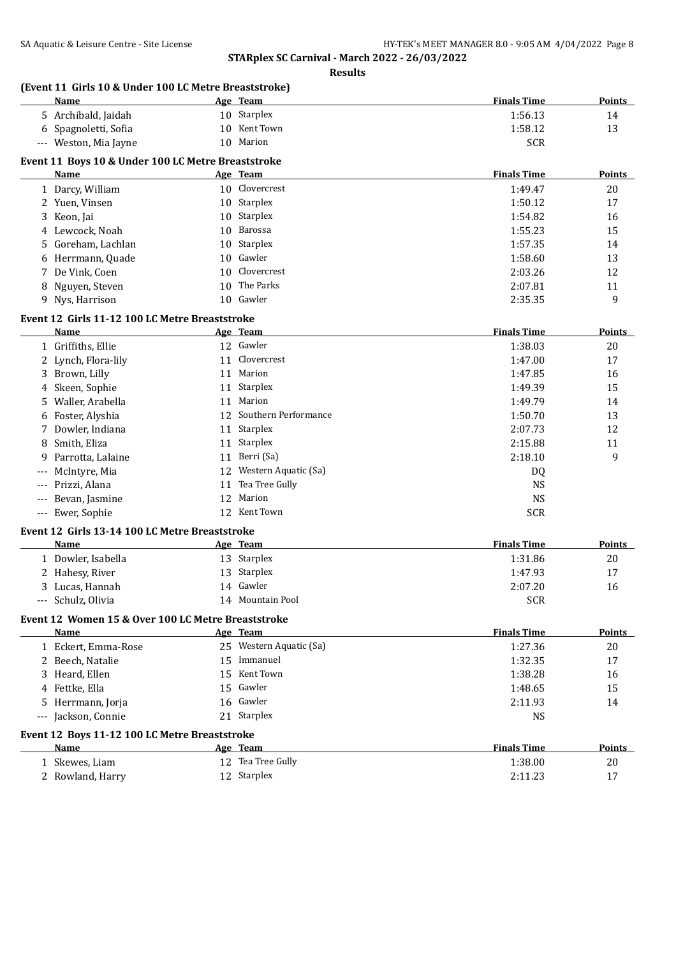**STARplex SC Carnival - March 2022 - 26/03/2022 Results**

| (Event 11 Girls 10 & Under 100 LC Metre Breaststroke)<br>Name | Age Team                       | <b>Finals Time</b> | <b>Points</b> |
|---------------------------------------------------------------|--------------------------------|--------------------|---------------|
| 5 Archibald, Jaidah                                           | 10 Starplex                    | 1:56.13            | 14            |
| 6 Spagnoletti, Sofia                                          | 10 Kent Town                   | 1:58.12            | 13            |
| --- Weston, Mia Jayne                                         | 10 Marion                      | <b>SCR</b>         |               |
|                                                               |                                |                    |               |
| Event 11 Boys 10 & Under 100 LC Metre Breaststroke            |                                | <b>Finals Time</b> |               |
| Name                                                          | Age Team<br>10 Clovercrest     |                    | <b>Points</b> |
| 1 Darcy, William                                              | 10 Starplex                    | 1:49.47            | 20            |
| 2 Yuen, Vinsen                                                |                                | 1:50.12            | 17            |
| 3 Keon, Jai                                                   | 10 Starplex<br>10 Barossa      | 1:54.82            | 16            |
| 4 Lewcock, Noah                                               |                                | 1:55.23            | 15            |
| Goreham, Lachlan<br>5.                                        | 10 Starplex<br>10 Gawler       | 1:57.35            | 14            |
| Herrmann, Quade                                               |                                | 1:58.60            | 13            |
| De Vink, Coen<br>7                                            | Clovercrest<br>10<br>The Parks | 2:03.26            | 12            |
| 8 Nguyen, Steven                                              | 10                             | 2:07.81            | 11            |
| 9 Nys, Harrison                                               | 10 Gawler                      | 2:35.35            | 9             |
| Event 12 Girls 11-12 100 LC Metre Breaststroke                |                                |                    |               |
| Name                                                          | Age Team                       | <b>Finals Time</b> | <b>Points</b> |
| 1 Griffiths, Ellie                                            | 12 Gawler                      | 1:38.03            | 20            |
| 2 Lynch, Flora-lily                                           | Clovercrest<br>11              | 1:47.00            | 17            |
| 3 Brown, Lilly                                                | Marion<br>11                   | 1:47.85            | 16            |
| Skeen, Sophie<br>4                                            | Starplex<br>11                 | 1:49.39            | 15            |
| Waller, Arabella<br>5.                                        | Marion<br>11                   | 1:49.79            | 14            |
| Foster, Alyshia                                               | Southern Performance<br>12     | 1:50.70            | 13            |
| Dowler, Indiana<br>7                                          | Starplex<br>11                 | 2:07.73            | 12            |
| Smith, Eliza<br>8                                             | Starplex<br>11                 | 2:15.88            | 11            |
| Parrotta, Lalaine<br>9                                        | Berri (Sa)<br>11               | 2:18.10            | 9             |
| McIntyre, Mia                                                 | Western Aquatic (Sa)<br>12     | DQ                 |               |
| Prizzi, Alana                                                 | Tea Tree Gully<br>11           | <b>NS</b>          |               |
| Bevan, Jasmine                                                | Marion<br>12                   | <b>NS</b>          |               |
| Ewer, Sophie<br>$\hspace{0.05cm} \ldots \hspace{0.05cm}$      | 12 Kent Town                   | <b>SCR</b>         |               |
| Event 12 Girls 13-14 100 LC Metre Breaststroke                |                                |                    |               |
| Name                                                          | Age Team                       | <b>Finals Time</b> | <b>Points</b> |
| 1 Dowler, Isabella                                            | 13 Starplex                    | 1:31.86            | 20            |
| 2 Hahesy, River                                               | 13 Starplex                    | 1:47.93            | 17            |
| 3 Lucas, Hannah                                               | 14 Gawler                      | 2:07.20            | 16            |
| --- Schulz, Olivia                                            | 14 Mountain Pool               | <b>SCR</b>         |               |
|                                                               |                                |                    |               |
| Event 12 Women 15 & Over 100 LC Metre Breaststroke            |                                |                    |               |
| Name                                                          | Age Team                       | <b>Finals Time</b> | <b>Points</b> |
| 1 Eckert, Emma-Rose                                           | 25 Western Aquatic (Sa)        | 1:27.36            | 20            |
| 2 Beech, Natalie                                              | 15 Immanuel                    | 1:32.35            | 17            |
| 3 Heard, Ellen                                                | 15 Kent Town                   | 1:38.28            | 16            |
| 4 Fettke, Ella                                                | 15 Gawler                      | 1:48.65            | 15            |
| 5 Herrmann, Jorja                                             | 16 Gawler                      | 2:11.93            | 14            |
| --- Jackson, Connie                                           | 21 Starplex                    | <b>NS</b>          |               |
| Event 12 Boys 11-12 100 LC Metre Breaststroke                 |                                |                    |               |
| Name                                                          | Age Team                       | <b>Finals Time</b> | <b>Points</b> |
| 1 Skewes, Liam                                                | 12 Tea Tree Gully              | 1:38.00            | $20\,$        |
| 2 Rowland, Harry                                              | 12 Starplex                    | 2:11.23            | 17            |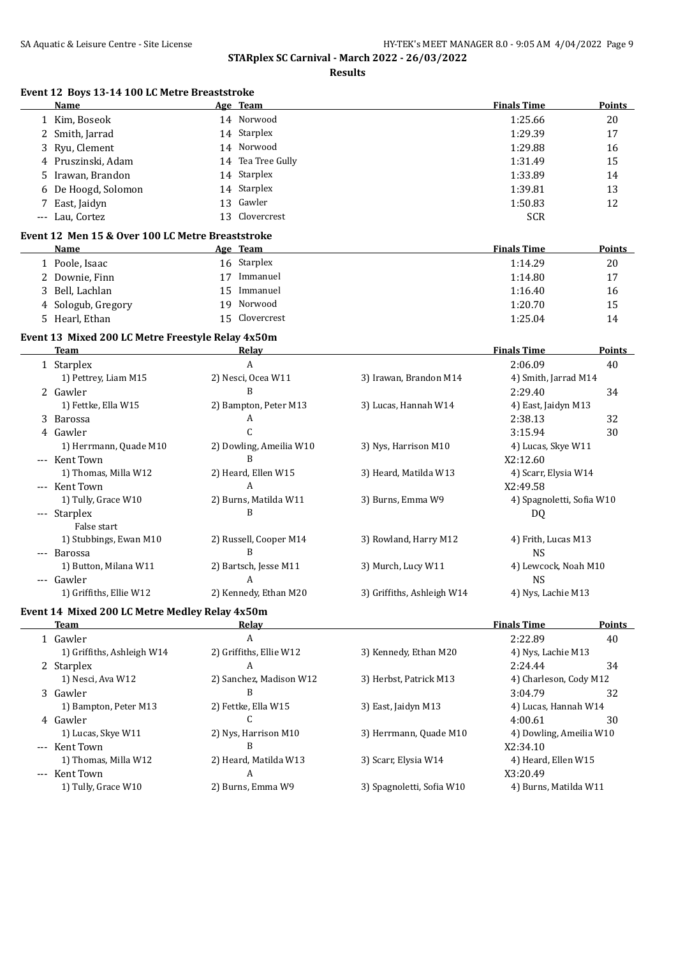| Event 12 Boys 13-14 100 LC Metre Breaststroke<br>Name | Age Team                |                            | <b>Finals Time</b>        | <b>Points</b> |
|-------------------------------------------------------|-------------------------|----------------------------|---------------------------|---------------|
| 1 Kim, Boseok                                         | 14 Norwood              |                            | 1:25.66                   | 20            |
| 2 Smith, Jarrad                                       | 14 Starplex             |                            | 1:29.39                   | 17            |
| 3 Ryu, Clement                                        | 14 Norwood              |                            | 1:29.88                   | 16            |
| 4 Pruszinski, Adam                                    | 14 Tea Tree Gully       |                            | 1:31.49                   | 15            |
| 5 Irawan, Brandon                                     | 14 Starplex             |                            | 1:33.89                   | 14            |
| 6 De Hoogd, Solomon                                   | 14 Starplex             |                            | 1:39.81                   | 13            |
| 7 East, Jaidyn                                        | 13 Gawler               |                            | 1:50.83                   | 12            |
| --- Lau, Cortez                                       | 13 Clovercrest          |                            | <b>SCR</b>                |               |
| Event 12 Men 15 & Over 100 LC Metre Breaststroke      |                         |                            |                           |               |
| Name                                                  | Age Team                |                            | <b>Finals Time</b>        | Points        |
| 1 Poole, Isaac                                        | 16 Starplex             |                            | 1:14.29                   | 20            |
| 2 Downie, Finn                                        | 17 Immanuel             |                            | 1:14.80                   | 17            |
| 3 Bell, Lachlan                                       | 15 Immanuel             |                            | 1:16.40                   | 16            |
| 4 Sologub, Gregory                                    | 19 Norwood              |                            | 1:20.70                   | 15            |
| 5 Hearl, Ethan                                        | 15 Clovercrest          |                            | 1:25.04                   | 14            |
|                                                       |                         |                            |                           |               |
| Event 13 Mixed 200 LC Metre Freestyle Relay 4x50m     |                         |                            |                           |               |
| Team                                                  | Relay                   |                            | <b>Finals Time</b>        | Points        |
| 1 Starplex                                            | A                       |                            | 2:06.09                   | 40            |
| 1) Pettrey, Liam M15                                  | 2) Nesci, Ocea W11      | 3) Irawan, Brandon M14     | 4) Smith, Jarrad M14      |               |
| 2 Gawler                                              | B                       |                            | 2:29.40                   | 34            |
| 1) Fettke, Ella W15                                   | 2) Bampton, Peter M13   | 3) Lucas, Hannah W14       | 4) East, Jaidyn M13       |               |
| 3 Barossa                                             | A                       |                            | 2:38.13                   | 32            |
| 4 Gawler                                              | $\mathcal{C}$           |                            | 3:15.94                   | 30            |
| 1) Herrmann, Quade M10                                | 2) Dowling, Ameilia W10 | 3) Nys, Harrison M10       | 4) Lucas, Skye W11        |               |
| --- Kent Town                                         | B                       |                            | X2:12.60                  |               |
| 1) Thomas, Milla W12                                  | 2) Heard, Ellen W15     | 3) Heard, Matilda W13      | 4) Scarr, Elysia W14      |               |
| --- Kent Town                                         | A                       |                            | X2:49.58                  |               |
| 1) Tully, Grace W10                                   | 2) Burns, Matilda W11   | 3) Burns, Emma W9          | 4) Spagnoletti, Sofia W10 |               |
| --- Starplex                                          | B                       |                            | DQ                        |               |
| False start                                           |                         |                            |                           |               |
| 1) Stubbings, Ewan M10                                | 2) Russell, Cooper M14  | 3) Rowland, Harry M12      | 4) Frith, Lucas M13       |               |
| --- Barossa                                           | B                       |                            | <b>NS</b>                 |               |
| 1) Button, Milana W11                                 | 2) Bartsch, Jesse M11   | 3) Murch, Lucy W11         | 4) Lewcock, Noah M10      |               |
| Gawler                                                | A                       |                            | <b>NS</b>                 |               |
| 1) Griffiths, Ellie W12                               | 2) Kennedy, Ethan M20   | 3) Griffiths, Ashleigh W14 | 4) Nys, Lachie M13        |               |
| Event 14 Mixed 200 LC Metre Medley Relay 4x50m        |                         |                            |                           |               |
| <b>Team</b>                                           | Relay                   |                            | <b>Finals Time</b>        | <b>Points</b> |
| 1 Gawler                                              | $\boldsymbol{A}$        |                            | 2:22.89                   | 40            |
| 1) Griffiths, Ashleigh W14                            | 2) Griffiths, Ellie W12 | 3) Kennedy, Ethan M20      | 4) Nys, Lachie M13        |               |
| 2 Starplex                                            | A                       |                            | 2:24.44                   | 34            |
| 1) Nesci, Ava W12                                     | 2) Sanchez, Madison W12 | 3) Herbst, Patrick M13     | 4) Charleson, Cody M12    |               |
| 3 Gawler                                              | B                       |                            | 3:04.79                   | 32            |
| 1) Bampton, Peter M13                                 | 2) Fettke, Ella W15     | 3) East, Jaidyn M13        | 4) Lucas, Hannah W14      |               |
| 4 Gawler                                              | C                       |                            | 4:00.61                   | 30            |
| 1) Lucas, Skye W11                                    | 2) Nys, Harrison M10    | 3) Herrmann, Quade M10     | 4) Dowling, Ameilia W10   |               |
| --- Kent Town                                         | B                       |                            | X2:34.10                  |               |
| 1) Thomas, Milla W12                                  | 2) Heard, Matilda W13   | 3) Scarr, Elysia W14       | 4) Heard, Ellen W15       |               |
| --- Kent Town                                         | A                       |                            | X3:20.49                  |               |
|                                                       |                         |                            |                           |               |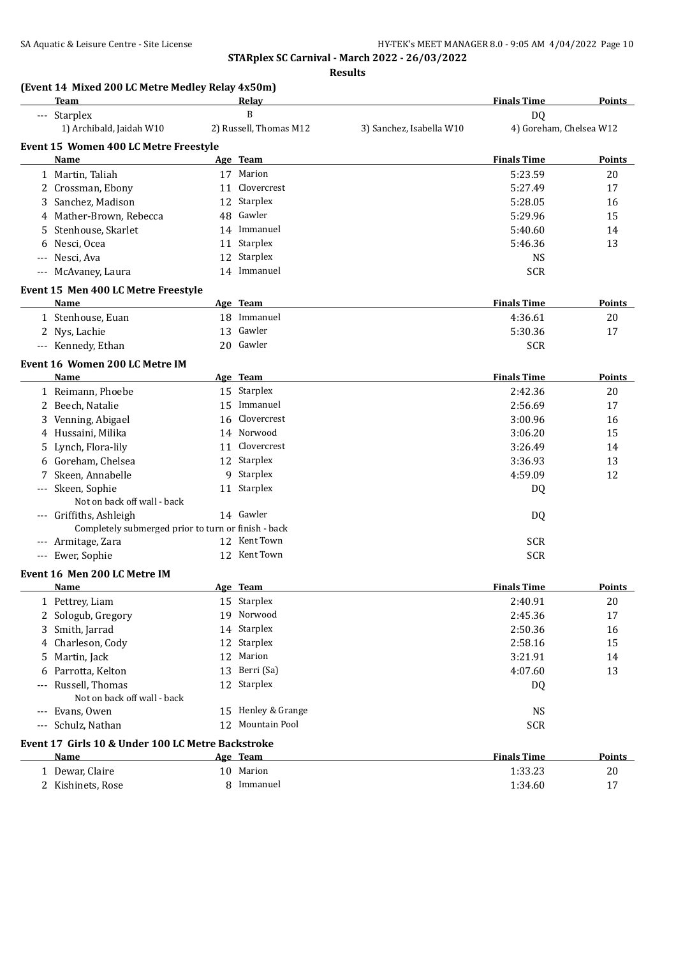**Finals Time Points** 

**STARplex SC Carnival - March 2022 - 26/03/2022**

**Results**

| (Event 14 Mixed 200 LC Metre Medley Relay 4x50m) |                      |       |                    |  |  |  |
|--------------------------------------------------|----------------------|-------|--------------------|--|--|--|
|                                                  | Team                 | Relav | <b>Finals Time</b> |  |  |  |
|                                                  | Starplex<br>$\cdots$ |       | D0                 |  |  |  |

| <b>Jual DICA</b>                      |    |                        |                          | υv                      |               |
|---------------------------------------|----|------------------------|--------------------------|-------------------------|---------------|
| 1) Archibald, Jaidah W10              |    | 2) Russell, Thomas M12 | 3) Sanchez, Isabella W10 | 4) Goreham, Chelsea W12 |               |
| Event 15 Women 400 LC Metre Freestyle |    |                        |                          |                         |               |
| Name                                  |    | Age Team               |                          | <b>Finals Time</b>      | <b>Points</b> |
| 1 Martin, Taliah                      | 17 | Marion                 |                          | 5:23.59                 | 20            |
| 2 Crossman, Ebony                     |    | 11 Clovercrest         |                          | 5:27.49                 | 17            |
| 3 Sanchez, Madison                    |    | 12 Starplex            |                          | 5:28.05                 | 16            |
| 4 Mather-Brown, Rebecca               |    | 48 Gawler              |                          | 5:29.96                 | 15            |
| 5 Stenhouse, Skarlet                  |    | 14 Immanuel            |                          | 5:40.60                 | 14            |
| 6 Nesci, Ocea                         | 11 | Starplex               |                          | 5:46.36                 | 13            |
| --- Nesci, Ava                        |    | 12 Starplex            |                          | NS.                     |               |
| --- McAvaney, Laura                   |    | 14 Immanuel            |                          | <b>SCR</b>              |               |
|                                       |    |                        |                          |                         |               |

#### **Event 15 Men 400 LC Metre Freestyle**

| Name               | Team<br>Age | <b>Finals Time</b> | <b>Points</b> |
|--------------------|-------------|--------------------|---------------|
| 1 Stenhouse, Euan  | 18 Immanuel | 4:36.61            | 20            |
| 2 Nys, Lachie      | 13 Gawler   | 5:30.36            | 17            |
| --- Kennedy, Ethan | 20 Gawler   | <b>SCR</b>         |               |

#### **Event 16 Women 200 LC Metre IM**

| Name                    |                                                     | Age Team       | <b>Finals Time</b> | <b>Points</b> |
|-------------------------|-----------------------------------------------------|----------------|--------------------|---------------|
| 1 Reimann, Phoebe       |                                                     | 15 Starplex    | 2:42.36            | 20            |
| 2 Beech, Natalie        |                                                     | 15 Immanuel    | 2:56.69            | 17            |
| 3 Venning, Abigael      |                                                     | 16 Clovercrest | 3:00.96            | 16            |
| 4 Hussaini, Milika      |                                                     | 14 Norwood     | 3:06.20            | 15            |
| 5 Lynch, Flora-lily     |                                                     | 11 Clovercrest | 3:26.49            | 14            |
| 6 Goreham, Chelsea      |                                                     | 12 Starplex    | 3:36.93            | 13            |
| 7 Skeen, Annabelle      |                                                     | 9 Starplex     | 4:59.09            | 12            |
| --- Skeen, Sophie       |                                                     | 11 Starplex    | DQ                 |               |
|                         | Not on back off wall - back                         |                |                    |               |
| --- Griffiths, Ashleigh |                                                     | 14 Gawler      | DQ                 |               |
|                         | Completely submerged prior to turn or finish - back |                |                    |               |
| --- Armitage, Zara      |                                                     | 12 Kent Town   | <b>SCR</b>         |               |
| --- Ewer, Sophie        |                                                     | 12 Kent Town   | <b>SCR</b>         |               |

#### **Event 16 Men 200 LC Metre IM**

| Name                                              | Age Team           | <b>Finals Time</b> | <b>Points</b> |
|---------------------------------------------------|--------------------|--------------------|---------------|
| 1 Pettrey, Liam                                   | 15 Starplex        | 2:40.91            | 20            |
| 2 Sologub, Gregory                                | 19 Norwood         | 2:45.36            | 17            |
| 3 Smith, Jarrad                                   | 14 Starplex        | 2:50.36            | 16            |
| 4 Charleson, Cody                                 | 12 Starplex        | 2:58.16            | 15            |
| 5 Martin, Jack                                    | 12 Marion          | 3:21.91            | 14            |
| 6 Parrotta, Kelton                                | 13 Berri (Sa)      | 4:07.60            | 13            |
| --- Russell. Thomas                               | 12 Starplex        | DQ                 |               |
| Not on back off wall - back                       |                    |                    |               |
| --- Evans, Owen                                   | 15 Henley & Grange | <b>NS</b>          |               |
| --- Schulz, Nathan                                | 12 Mountain Pool   | <b>SCR</b>         |               |
| Event 17 Girls 10 & Under 100 LC Metre Backstroke |                    |                    |               |
|                                                   |                    |                    |               |

| Name            | Team<br>Age  | <b>Finals Time</b> | Points |
|-----------------|--------------|--------------------|--------|
| Dewar, Claire   | Marion<br>10 | 1:33.23            | 20     |
| Kishinets, Rose | Immanuel     | 1:34.60            | $\sim$ |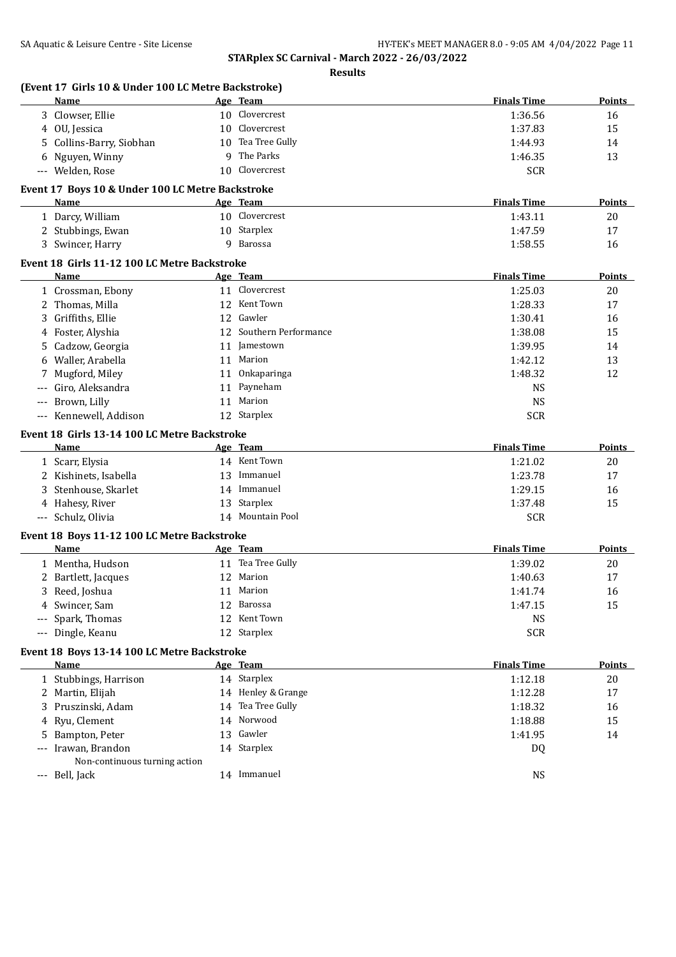**STARplex SC Carnival - March 2022 - 26/03/2022 Results**

|     | (Event 17 Girls 10 & Under 100 LC Metre Backstroke)<br>Name |    | Age Team                    | <b>Finals Time</b>      | Points        |
|-----|-------------------------------------------------------------|----|-----------------------------|-------------------------|---------------|
|     | 3 Clowser, Ellie                                            |    | 10 Clovercrest              | 1:36.56                 | 16            |
|     | 4 OU, Jessica                                               |    | 10 Clovercrest              | 1:37.83                 | 15            |
| 5   | Collins-Barry, Siobhan                                      |    | 10 Tea Tree Gully           | 1:44.93                 | 14            |
|     | 6 Nguyen, Winny                                             |    | 9 The Parks                 | 1:46.35                 | 13            |
|     | --- Welden, Rose                                            |    | 10 Clovercrest              | <b>SCR</b>              |               |
|     | Event 17 Boys 10 & Under 100 LC Metre Backstroke            |    |                             |                         |               |
|     | Name                                                        |    | Age Team                    | <b>Finals Time</b>      | Points        |
|     | 1 Darcy, William                                            |    | 10 Clovercrest              | 1:43.11                 | 20            |
|     | 2 Stubbings, Ewan                                           |    | 10 Starplex                 | 1:47.59                 | 17            |
|     | 3 Swincer, Harry                                            |    | 9 Barossa                   | 1:58.55                 | 16            |
|     | Event 18 Girls 11-12 100 LC Metre Backstroke                |    |                             |                         |               |
|     | Name                                                        |    | Age Team                    | <b>Finals Time</b>      | Points        |
|     | 1 Crossman, Ebony                                           |    | 11 Clovercrest              | 1:25.03                 | 20            |
|     | 2 Thomas, Milla                                             |    | 12 Kent Town                | 1:28.33                 | 17            |
| 3   | Griffiths, Ellie                                            |    | 12 Gawler                   | 1:30.41                 | 16            |
|     | 4 Foster, Alyshia                                           |    | 12 Southern Performance     | 1:38.08                 | 15            |
| 5   | Cadzow, Georgia                                             | 11 | Jamestown                   | 1:39.95                 | 14            |
| 6   | Waller, Arabella                                            | 11 | Marion                      | 1:42.12                 | 13            |
| 7   | Mugford, Miley                                              | 11 | Onkaparinga                 | 1:48.32                 | 12            |
|     | Giro, Aleksandra                                            | 11 | Payneham                    | <b>NS</b>               |               |
| --- | Brown, Lilly                                                | 11 | Marion                      | <b>NS</b>               |               |
|     | --- Kennewell, Addison                                      |    | 12 Starplex                 | <b>SCR</b>              |               |
|     | Event 18 Girls 13-14 100 LC Metre Backstroke                |    |                             |                         |               |
|     | Name                                                        |    | Age Team                    | <b>Finals Time</b>      | <b>Points</b> |
|     | 1 Scarr, Elysia                                             |    | 14 Kent Town                | 1:21.02                 | 20            |
|     | 2 Kishinets, Isabella                                       |    | 13 Immanuel                 | 1:23.78                 | 17            |
|     | 3 Stenhouse, Skarlet                                        |    | 14 Immanuel                 | 1:29.15                 | 16            |
|     | 4 Hahesy, River                                             |    | 13 Starplex                 | 1:37.48                 | 15            |
|     | --- Schulz, Olivia                                          |    | 14 Mountain Pool            | <b>SCR</b>              |               |
|     | Event 18 Boys 11-12 100 LC Metre Backstroke                 |    |                             |                         |               |
|     | Name                                                        |    | Age Team                    | <b>Finals Time</b>      | <b>Points</b> |
|     | 1 Mentha, Hudson                                            |    | 11 Tea Tree Gully           | 1:39.02                 | 20            |
|     | 2 Bartlett, Jacques                                         |    | 12 Marion                   | 1:40.63                 | 17            |
|     | 3 Reed, Joshua                                              |    | 11 Marion                   | 1:41.74                 | 16            |
|     | 4 Swincer, Sam                                              |    | 12 Barossa                  | 1:47.15                 | 15            |
|     |                                                             |    |                             |                         |               |
|     |                                                             |    |                             |                         |               |
|     | --- Spark, Thomas<br>--- Dingle, Keanu                      |    | 12 Kent Town<br>12 Starplex | <b>NS</b><br><b>SCR</b> |               |
|     |                                                             |    |                             |                         |               |
|     | Event 18 Boys 13-14 100 LC Metre Backstroke<br>Name         |    | Age Team                    | <b>Finals Time</b>      | <b>Points</b> |
|     | 1 Stubbings, Harrison                                       |    | 14 Starplex                 | 1:12.18                 | 20            |
|     |                                                             |    | 14 Henley & Grange          |                         | 17            |
| 3   | 2 Martin, Elijah                                            |    | 14 Tea Tree Gully           | 1:12.28                 |               |
|     | Pruszinski, Adam                                            |    | 14 Norwood                  | 1:18.32                 | 16            |
|     | 4 Ryu, Clement                                              |    |                             | 1:18.88                 | 15            |
|     | 5 Bampton, Peter                                            |    | 13 Gawler                   | 1:41.95                 | 14            |
|     | --- Irawan, Brandon                                         |    | 14 Starplex                 | DQ                      |               |
|     | Non-continuous turning action<br>--- Bell, Jack             |    | 14 Immanuel                 | <b>NS</b>               |               |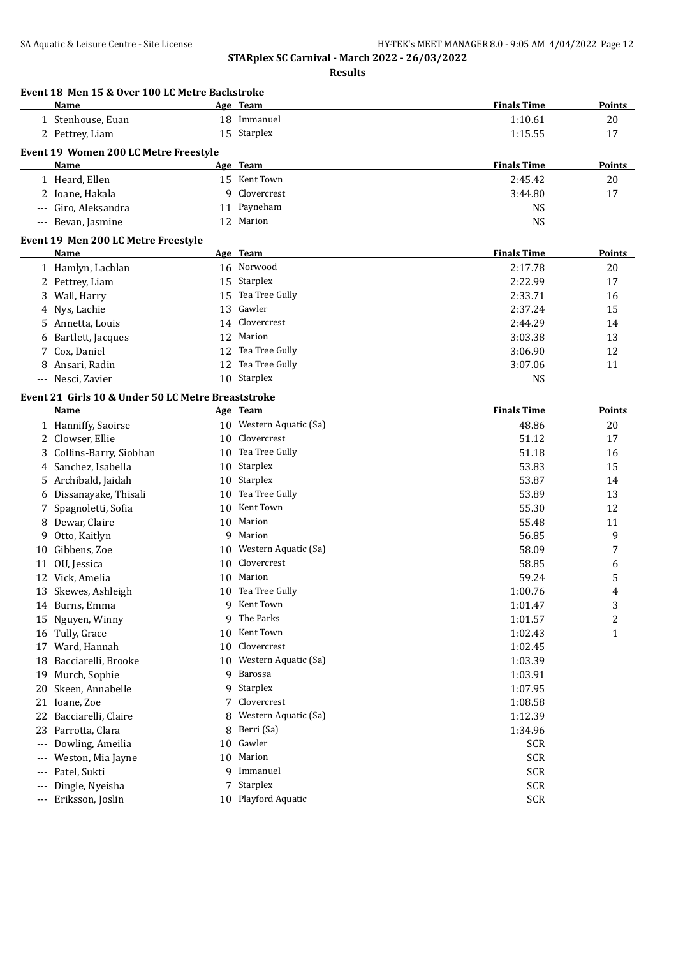|                     | Event 18 Men 15 & Over 100 LC Metre Backstroke<br><b>Name</b> |    | Age Team                | <b>Finals Time</b> | <b>Points</b> |
|---------------------|---------------------------------------------------------------|----|-------------------------|--------------------|---------------|
|                     | 1 Stenhouse, Euan                                             |    | 18 Immanuel             | 1:10.61            | 20            |
|                     | 2 Pettrey, Liam                                               |    | 15 Starplex             | 1:15.55            | 17            |
|                     | <b>Event 19 Women 200 LC Metre Freestyle</b>                  |    |                         |                    |               |
|                     | Name                                                          |    | Age Team                | <b>Finals Time</b> | <b>Points</b> |
|                     | 1 Heard, Ellen                                                |    | 15 Kent Town            | 2:45.42            | 20            |
|                     | 2 Ioane, Hakala                                               | q  | Clovercrest             | 3:44.80            | 17            |
| $\qquad \qquad - -$ | Giro, Aleksandra                                              |    | 11 Payneham             | <b>NS</b>          |               |
| $\qquad \qquad - -$ | Bevan, Jasmine                                                |    | 12 Marion               | <b>NS</b>          |               |
|                     | Event 19 Men 200 LC Metre Freestyle                           |    |                         |                    |               |
|                     | Name                                                          |    | Age Team                | <b>Finals Time</b> | <b>Points</b> |
|                     | 1 Hamlyn, Lachlan                                             |    | 16 Norwood              | 2:17.78            | 20            |
|                     | 2 Pettrey, Liam                                               | 15 | Starplex                | 2:22.99            | 17            |
|                     | 3 Wall, Harry                                                 | 15 | Tea Tree Gully          | 2:33.71            | 16            |
| 4                   | Nys, Lachie                                                   | 13 | Gawler                  | 2:37.24            | 15            |
|                     | 5 Annetta, Louis                                              | 14 | Clovercrest             | 2:44.29            | 14            |
| 6                   | Bartlett, Jacques                                             | 12 | Marion                  | 3:03.38            | 13            |
|                     | 7 Cox, Daniel                                                 | 12 | Tea Tree Gully          | 3:06.90            | 12            |
|                     | 8 Ansari, Radin                                               | 12 | Tea Tree Gully          | 3:07.06            | 11            |
|                     | --- Nesci, Zavier                                             |    | 10 Starplex             | <b>NS</b>          |               |
|                     |                                                               |    |                         |                    |               |
|                     | Event 21 Girls 10 & Under 50 LC Metre Breaststroke<br>Name    |    | Age Team                | <b>Finals Time</b> | Points        |
|                     |                                                               |    | 10 Western Aquatic (Sa) | 48.86              | 20            |
|                     | 1 Hanniffy, Saoirse                                           | 10 | Clovercrest             |                    |               |
| 2<br>3              | Clowser, Ellie<br>Collins-Barry, Siobhan                      | 10 | Tea Tree Gully          | 51.12<br>51.18     | 17<br>16      |
|                     | 4 Sanchez, Isabella                                           | 10 | Starplex                | 53.83              | 15            |
|                     | 5 Archibald, Jaidah                                           | 10 | Starplex                | 53.87              | 14            |
| 6                   | Dissanayake, Thisali                                          | 10 | Tea Tree Gully          | 53.89              | 13            |
| 7                   | Spagnoletti, Sofia                                            | 10 | Kent Town               | 55.30              | 12            |
|                     | 8 Dewar, Claire                                               | 10 | Marion                  | 55.48              | 11            |
| 9                   | Otto, Kaitlyn                                                 | 9  | Marion                  | 56.85              | 9             |
| 10                  | Gibbens, Zoe                                                  | 10 | Western Aquatic (Sa)    | 58.09              | 7             |
| 11                  | OU, Jessica                                                   | 10 | Clovercrest             | 58.85              | 6             |
|                     | 12 Vick, Amelia                                               | 10 | Marion                  | 59.24              | 5             |
|                     | 13 Skewes, Ashleigh                                           |    | 10 Tea Tree Gully       | 1:00.76            | 4             |
|                     | 14 Burns, Emma                                                |    | 9 Kent Town             | 1:01.47            | 3             |
|                     | 15 Nguyen, Winny                                              | 9  | The Parks               | 1:01.57            | 2             |
|                     | 16 Tully, Grace                                               | 10 | Kent Town               | 1:02.43            | 1             |
| 17                  | Ward, Hannah                                                  | 10 | Clovercrest             | 1:02.45            |               |
| 18                  | Bacciarelli, Brooke                                           | 10 | Western Aquatic (Sa)    | 1:03.39            |               |
| 19                  | Murch, Sophie                                                 | 9  | Barossa                 | 1:03.91            |               |
| 20                  | Skeen, Annabelle                                              | 9  | Starplex                | 1:07.95            |               |
|                     | 21 Ioane, Zoe                                                 | 7  | Clovercrest             | 1:08.58            |               |
|                     | 22 Bacciarelli, Claire                                        | 8  | Western Aquatic (Sa)    | 1:12.39            |               |
|                     | 23 Parrotta, Clara                                            | 8  | Berri (Sa)              | 1:34.96            |               |
|                     |                                                               | 10 | Gawler                  | <b>SCR</b>         |               |
| $---$               |                                                               |    |                         |                    |               |
| $---$               | Dowling, Ameilia<br>Weston, Mia Jayne                         | 10 | Marion                  | <b>SCR</b>         |               |
| ---                 | Patel, Sukti                                                  | q  | Immanuel                | <b>SCR</b>         |               |
| ---                 | Dingle, Nyeisha                                               |    | Starplex                | <b>SCR</b>         |               |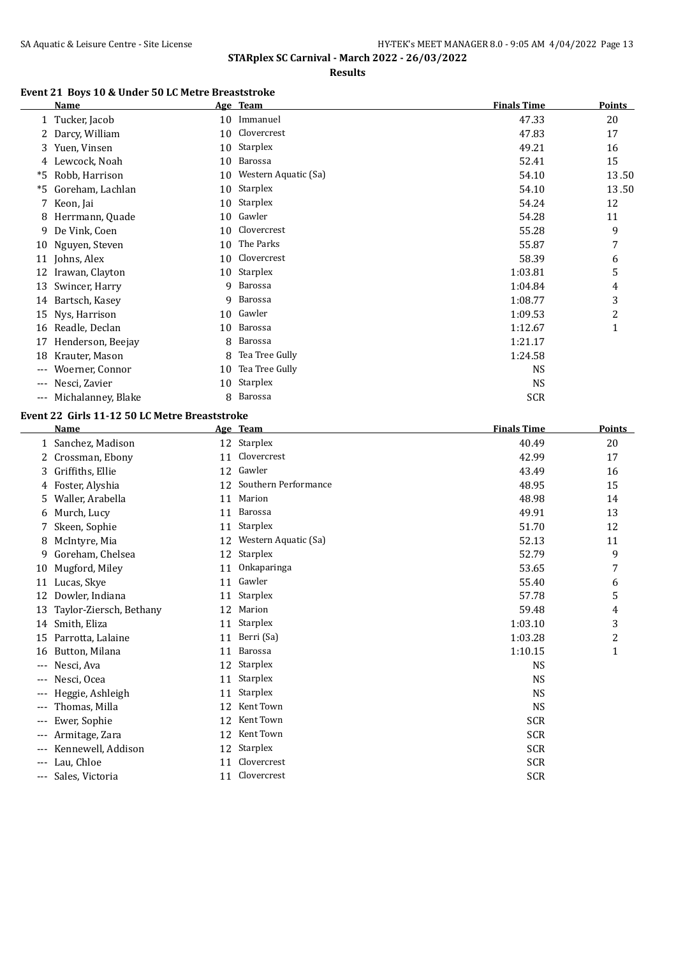**Results**

# **Event 21 Boys 10 & Under 50 LC Metre Breaststroke**

|       | Name               |    | Age Team             | <b>Finals Time</b> | <b>Points</b> |
|-------|--------------------|----|----------------------|--------------------|---------------|
|       | 1 Tucker, Jacob    | 10 | Immanuel             | 47.33              | 20            |
|       | Darcy, William     | 10 | Clovercrest          | 47.83              | 17            |
|       | 3 Yuen, Vinsen     | 10 | Starplex             | 49.21              | 16            |
|       | 4 Lewcock, Noah    | 10 | Barossa              | 52.41              | 15            |
| *5    | Robb, Harrison     | 10 | Western Aquatic (Sa) | 54.10              | 13.50         |
| *5    | Goreham, Lachlan   | 10 | Starplex             | 54.10              | 13.50         |
| 7     | Keon, Jai          | 10 | Starplex             | 54.24              | 12            |
| 8     | Herrmann, Quade    | 10 | Gawler               | 54.28              | 11            |
| 9     | De Vink, Coen      | 10 | Clovercrest          | 55.28              | 9             |
| 10    | Nguyen, Steven     | 10 | The Parks            | 55.87              | 7             |
| 11    | Johns, Alex        | 10 | Clovercrest          | 58.39              | 6             |
| 12    | Irawan, Clayton    | 10 | Starplex             | 1:03.81            | 5             |
| 13    | Swincer, Harry     | 9  | Barossa              | 1:04.84            | 4             |
|       | 14 Bartsch, Kasey  | 9  | Barossa              | 1:08.77            | 3             |
| 15    | Nys, Harrison      | 10 | Gawler               | 1:09.53            | 2             |
| 16    | Readle, Declan     | 10 | Barossa              | 1:12.67            | $\mathbf{1}$  |
| 17    | Henderson, Beejay  | 8  | Barossa              | 1:21.17            |               |
| 18    | Krauter, Mason     | 8  | Tea Tree Gully       | 1:24.58            |               |
| ---   | Woerner, Connor    | 10 | Tea Tree Gully       | <b>NS</b>          |               |
| $---$ | Nesci, Zavier      | 10 | Starplex             | <b>NS</b>          |               |
| $---$ | Michalanney, Blake | 8  | <b>Barossa</b>       | <b>SCR</b>         |               |

# **Event 22 Girls 11-12 50 LC Metre Breaststroke**

|       | <b>Name</b>             |    | Age Team             | <b>Finals Time</b> | Points         |
|-------|-------------------------|----|----------------------|--------------------|----------------|
|       | Sanchez, Madison        | 12 | Starplex             | 40.49              | 20             |
| 2     | Crossman, Ebony         | 11 | Clovercrest          | 42.99              | 17             |
| 3     | Griffiths, Ellie        | 12 | Gawler               | 43.49              | 16             |
| 4     | Foster, Alyshia         | 12 | Southern Performance | 48.95              | 15             |
| 5.    | Waller, Arabella        | 11 | Marion               | 48.98              | 14             |
| 6     | Murch, Lucy             | 11 | Barossa              | 49.91              | 13             |
|       | Skeen, Sophie           | 11 | Starplex             | 51.70              | 12             |
| 8     | McIntyre, Mia           | 12 | Western Aquatic (Sa) | 52.13              | 11             |
| 9     | Goreham, Chelsea        | 12 | <b>Starplex</b>      | 52.79              | 9              |
| 10    | Mugford, Miley          | 11 | Onkaparinga          | 53.65              | 7              |
| 11    | Lucas, Skye             | 11 | Gawler               | 55.40              | 6              |
| 12    | Dowler, Indiana         | 11 | Starplex             | 57.78              | 5              |
| 13    | Taylor-Ziersch, Bethany | 12 | Marion               | 59.48              | 4              |
| 14    | Smith, Eliza            | 11 | Starplex             | 1:03.10            | 3              |
| 15    | Parrotta, Lalaine       | 11 | Berri (Sa)           | 1:03.28            | $\overline{c}$ |
| 16    | Button, Milana          | 11 | Barossa              | 1:10.15            | $\mathbf{1}$   |
| $---$ | Nesci, Ava              | 12 | Starplex             | <b>NS</b>          |                |
|       | Nesci, Ocea             | 11 | <b>Starplex</b>      | <b>NS</b>          |                |
| ---   | Heggie, Ashleigh        | 11 | Starplex             | <b>NS</b>          |                |
| ---   | Thomas, Milla           | 12 | Kent Town            | <b>NS</b>          |                |
| ---   | Ewer, Sophie            | 12 | Kent Town            | <b>SCR</b>         |                |
| $---$ | Armitage, Zara          | 12 | Kent Town            | <b>SCR</b>         |                |
| $---$ | Kennewell, Addison      | 12 | <b>Starplex</b>      | <b>SCR</b>         |                |
| $---$ | Lau, Chloe              | 11 | Clovercrest          | <b>SCR</b>         |                |
| $---$ | Sales, Victoria         | 11 | Clovercrest          | <b>SCR</b>         |                |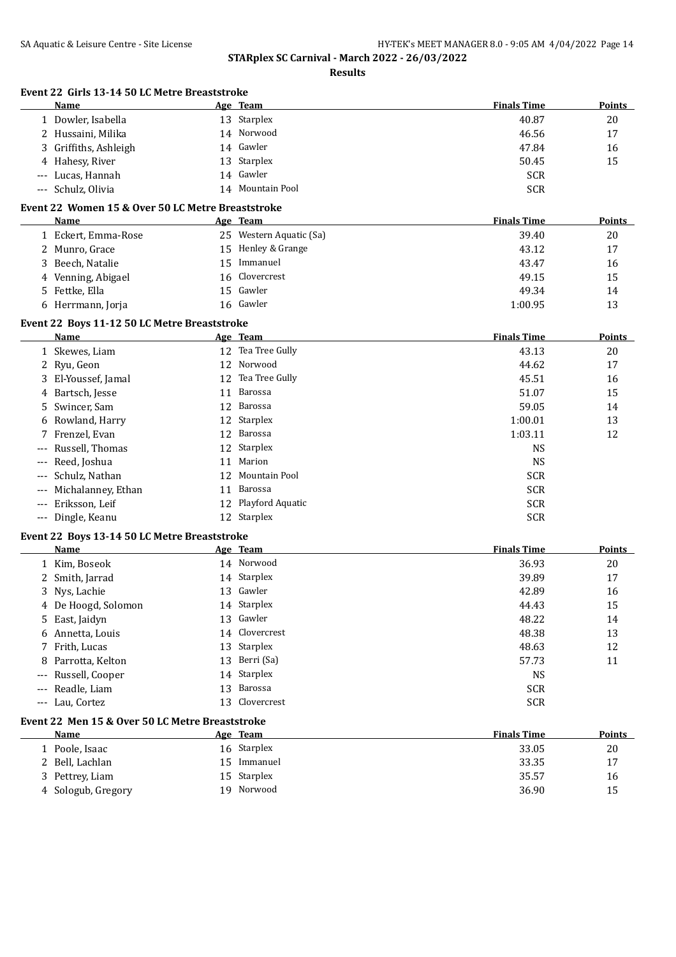|       | Event 22 Girls 13-14 50 LC Metre Breaststroke     |    |                         |                    |               |
|-------|---------------------------------------------------|----|-------------------------|--------------------|---------------|
|       | Name                                              |    | Age Team                | <b>Finals Time</b> | <b>Points</b> |
|       | 1 Dowler, Isabella                                |    | 13 Starplex             | 40.87              | 20            |
|       | 2 Hussaini, Milika                                |    | 14 Norwood              | 46.56              | 17            |
|       | 3 Griffiths, Ashleigh                             |    | 14 Gawler               | 47.84              | 16            |
|       | 4 Hahesy, River                                   | 13 | Starplex                | 50.45              | 15            |
|       | --- Lucas, Hannah                                 | 14 | Gawler                  | <b>SCR</b>         |               |
|       | --- Schulz, Olivia                                | 14 | Mountain Pool           | <b>SCR</b>         |               |
|       | Event 22 Women 15 & Over 50 LC Metre Breaststroke |    |                         |                    |               |
|       | <b>Name</b>                                       |    | Age Team                | <b>Finals Time</b> | Points        |
|       | 1 Eckert, Emma-Rose                               |    | 25 Western Aquatic (Sa) | 39.40              | 20            |
|       | 2 Munro, Grace                                    |    | 15 Henley & Grange      | 43.12              | 17            |
|       | 3 Beech, Natalie                                  |    | 15 Immanuel             | 43.47              | 16            |
| 4     | Venning, Abigael                                  | 16 | Clovercrest             | 49.15              | 15            |
|       | 5 Fettke, Ella                                    | 15 | Gawler                  | 49.34              | 14            |
|       | 6 Herrmann, Jorja                                 |    | 16 Gawler               | 1:00.95            | 13            |
|       | Event 22 Boys 11-12 50 LC Metre Breaststroke      |    |                         |                    |               |
|       | Name                                              |    | Age Team                | <b>Finals Time</b> | Points        |
|       | 1 Skewes, Liam                                    |    | 12 Tea Tree Gully       | 43.13              | 20            |
|       | 2 Ryu, Geon                                       |    | 12 Norwood              | 44.62              | 17            |
|       | 3 El-Youssef, Jamal                               |    | 12 Tea Tree Gully       | 45.51              | 16            |
| 4     | Bartsch, Jesse                                    | 11 | Barossa                 | 51.07              | 15            |
| 5.    | Swincer, Sam                                      | 12 | Barossa                 | 59.05              | 14            |
|       | 6 Rowland, Harry                                  | 12 | Starplex                | 1:00.01            | 13            |
|       | 7 Frenzel, Evan                                   | 12 | Barossa                 | 1:03.11            | 12            |
|       | Russell, Thomas                                   | 12 | Starplex                | <b>NS</b>          |               |
| ---   | Reed, Joshua                                      | 11 | Marion                  | <b>NS</b>          |               |
| $---$ | Schulz, Nathan                                    | 12 | Mountain Pool           | <b>SCR</b>         |               |
| ---   | Michalanney, Ethan                                | 11 | Barossa                 | <b>SCR</b>         |               |
| $---$ | Eriksson, Leif                                    |    | 12 Playford Aquatic     | <b>SCR</b>         |               |
|       | --- Dingle, Keanu                                 |    | 12 Starplex             | <b>SCR</b>         |               |
|       | Event 22 Boys 13-14 50 LC Metre Breaststroke      |    |                         |                    |               |
|       | Name                                              |    | Age Team                | <b>Finals Time</b> | Points        |
|       | 1 Kim, Boseok                                     |    | 14 Norwood              | 36.93              | 20            |
|       | 2 Smith, Jarrad                                   |    | 14 Starplex             | 39.89              | 17            |
|       | 3 Nys, Lachie                                     |    | 13 Gawler               | 42.89              | 16            |
|       | 4 De Hoogd, Solomon                               |    | 14 Starplex             | 44.43              | 15            |
|       | 5 East, Jaidyn                                    |    | 13 Gawler               | 48.22              | 14            |
|       | 6 Annetta, Louis                                  |    | 14 Clovercrest          | 48.38              | 13            |
|       | 7 Frith, Lucas                                    | 13 | Starplex                | 48.63              | 12            |
| 8     | Parrotta, Kelton                                  |    | 13 Berri (Sa)           | 57.73              | 11            |
| $---$ | Russell, Cooper                                   |    | 14 Starplex             | <b>NS</b>          |               |
| $---$ | Readle, Liam                                      | 13 | Barossa                 | <b>SCR</b>         |               |
|       | --- Lau, Cortez                                   | 13 | Clovercrest             | <b>SCR</b>         |               |
|       | Event 22 Men 15 & Over 50 LC Metre Breaststroke   |    |                         |                    |               |
|       | Name                                              |    | Age Team                | <b>Finals Time</b> | Points        |
|       | 1 Poole, Isaac                                    |    | 16 Starplex             | 33.05              | 20            |
|       | 2 Bell, Lachlan                                   |    | 15 Immanuel             | 33.35              | 17            |
|       |                                                   |    |                         |                    |               |
|       | 3 Pettrey, Liam                                   |    | 15 Starplex             | 35.57              | 16            |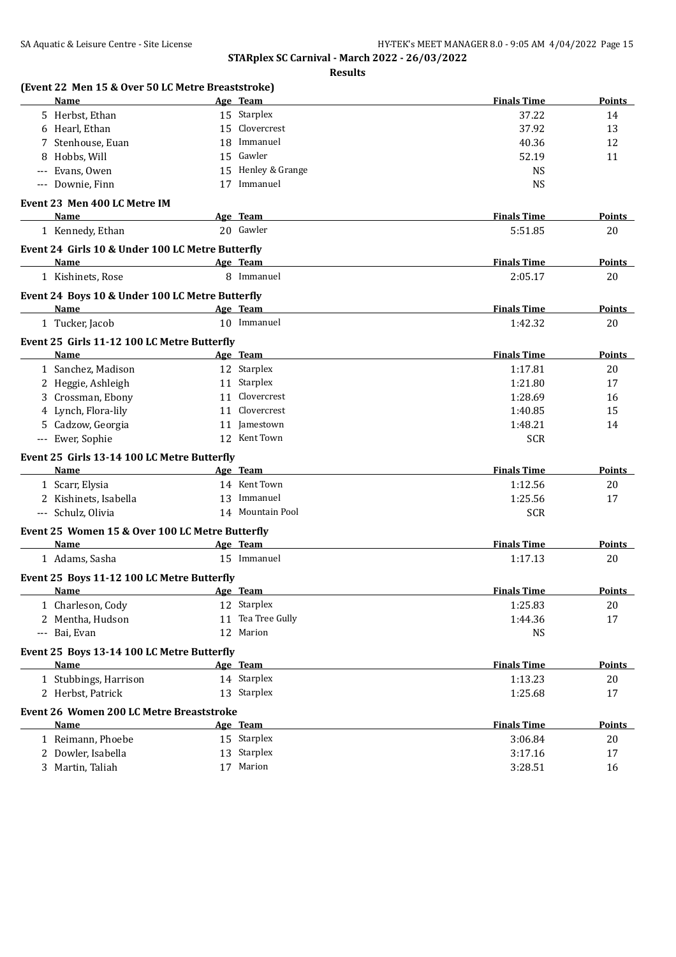| Results |
|---------|
|---------|

| Name                                             |    | Age Team           | <b>Finals Time</b> | Points        |
|--------------------------------------------------|----|--------------------|--------------------|---------------|
| 5 Herbst, Ethan                                  |    | 15 Starplex        | 37.22              | 14            |
| 6 Hearl, Ethan                                   |    | 15 Clovercrest     | 37.92              | 13            |
| Stenhouse, Euan<br>7                             |    | 18 Immanuel        | 40.36              | 12            |
| Hobbs, Will<br>8                                 |    | 15 Gawler          | 52.19              | 11            |
| Evans, Owen                                      |    | 15 Henley & Grange | <b>NS</b>          |               |
| --- Downie, Finn                                 |    | 17 Immanuel        | <b>NS</b>          |               |
| Event 23 Men 400 LC Metre IM                     |    |                    |                    |               |
| Name                                             |    | Age Team           | <b>Finals Time</b> | Points        |
| 1 Kennedy, Ethan                                 |    | 20 Gawler          | 5:51.85            | 20            |
| Event 24 Girls 10 & Under 100 LC Metre Butterfly |    |                    |                    |               |
| Name                                             |    | Age Team           | <b>Finals Time</b> | Points        |
| 1 Kishinets, Rose                                |    | 8 Immanuel         | 2:05.17            | 20            |
| Event 24 Boys 10 & Under 100 LC Metre Butterfly  |    |                    |                    |               |
| Name                                             |    | Age Team           | <b>Finals Time</b> | Points        |
| 1 Tucker, Jacob                                  |    | 10 Immanuel        | 1:42.32            | 20            |
| Event 25 Girls 11-12 100 LC Metre Butterfly      |    |                    |                    |               |
| <b>Name</b>                                      |    | Age Team           | <b>Finals Time</b> | <b>Points</b> |
| 1 Sanchez, Madison                               |    | 12 Starplex        | 1:17.81            | 20            |
| 2 Heggie, Ashleigh                               |    | 11 Starplex        | 1:21.80            | 17            |
| 3 Crossman, Ebony                                |    | 11 Clovercrest     | 1:28.69            | 16            |
| 4 Lynch, Flora-lily                              |    | 11 Clovercrest     | 1:40.85            | 15            |
| 5 Cadzow, Georgia                                |    | 11 Jamestown       | 1:48.21            | 14            |
| --- Ewer, Sophie                                 |    | 12 Kent Town       | <b>SCR</b>         |               |
| Event 25 Girls 13-14 100 LC Metre Butterfly      |    |                    |                    |               |
| Name                                             |    | Age Team           | <b>Finals Time</b> | Points        |
| 1 Scarr, Elysia                                  |    | 14 Kent Town       | 1:12.56            | 20            |
| 2 Kishinets, Isabella                            |    | 13 Immanuel        | 1:25.56            | 17            |
| --- Schulz, Olivia                               |    | 14 Mountain Pool   | <b>SCR</b>         |               |
| Event 25 Women 15 & Over 100 LC Metre Butterfly  |    |                    |                    |               |
| Name                                             |    | Age Team           | <b>Finals Time</b> | <b>Points</b> |
| 1 Adams, Sasha                                   |    | 15 Immanuel        | 1:17.13            | 20            |
| Event 25 Boys 11-12 100 LC Metre Butterfly       |    |                    |                    |               |
| Name                                             |    | Age Team           | <b>Finals Time</b> | <b>Points</b> |
| 1 Charleson, Cody                                |    | 12 Starplex        | 1:25.83            | 20            |
| 2 Mentha, Hudson                                 | 11 | Tea Tree Gully     | 1:44.36            | 17            |
| --- Bai, Evan                                    |    | 12 Marion          | <b>NS</b>          |               |
| Event 25 Boys 13-14 100 LC Metre Butterfly       |    |                    |                    |               |
| Name                                             |    | Age Team           | <b>Finals Time</b> | Points        |
| 1 Stubbings, Harrison                            |    | 14 Starplex        | 1:13.23            | 20            |
| 2 Herbst, Patrick                                |    | 13 Starplex        | 1:25.68            | 17            |
| <b>Event 26 Women 200 LC Metre Breaststroke</b>  |    |                    |                    |               |
| <b>Name</b>                                      |    | Age Team           | <b>Finals Time</b> | <b>Points</b> |
| 1 Reimann, Phoebe                                |    | 15 Starplex        | 3:06.84            | 20            |
| 2 Dowler, Isabella                               |    | 13 Starplex        | 3:17.16            | 17            |
| 3 Martin, Taliah                                 |    | 17 Marion          | 3:28.51            | 16            |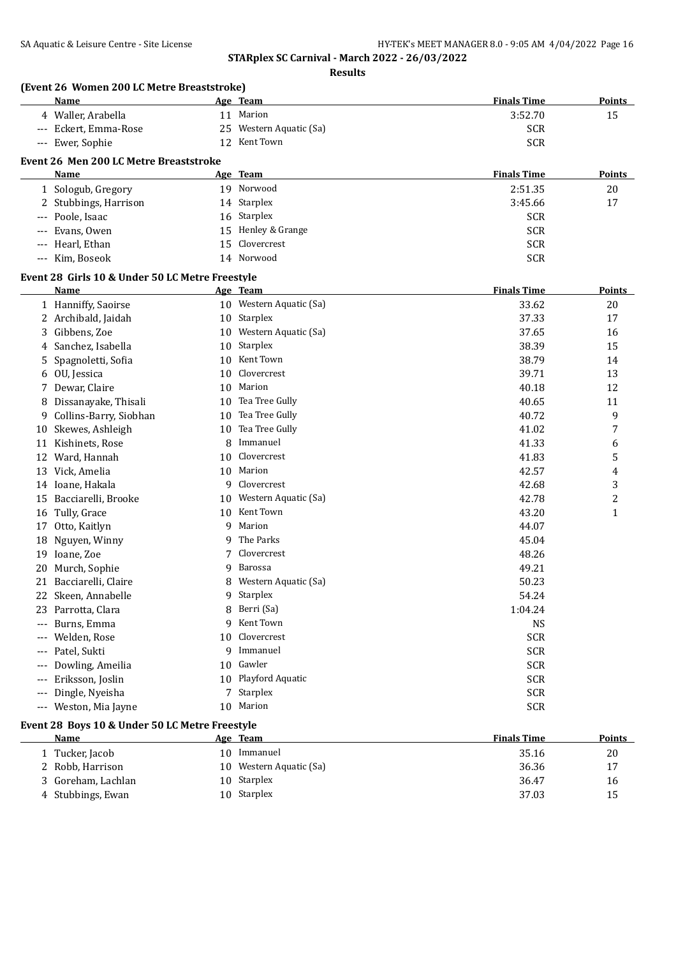**Results**

| (Event 26 Women 200 LC Metre Breaststroke)<br>Name |    | Age Team                | <b>Finals Time</b> | Points         |
|----------------------------------------------------|----|-------------------------|--------------------|----------------|
| 4 Waller, Arabella                                 |    | 11 Marion               | 3:52.70            | 15             |
| --- Eckert, Emma-Rose                              |    | 25 Western Aquatic (Sa) | <b>SCR</b>         |                |
| --- Ewer, Sophie                                   |    | 12 Kent Town            | <b>SCR</b>         |                |
|                                                    |    |                         |                    |                |
| Event 26 Men 200 LC Metre Breaststroke             |    |                         |                    |                |
| Name                                               |    | Age Team                | <b>Finals Time</b> | <b>Points</b>  |
| 1 Sologub, Gregory                                 |    | 19 Norwood              | 2:51.35            | 20             |
| 2 Stubbings, Harrison                              |    | 14 Starplex             | 3:45.66            | 17             |
| Poole, Isaac<br>$---$                              |    | 16 Starplex             | <b>SCR</b>         |                |
| Evans, Owen<br>$---$                               |    | 15 Henley & Grange      | <b>SCR</b>         |                |
| Hearl, Ethan<br>$\qquad \qquad - -$                | 15 | Clovercrest             | <b>SCR</b>         |                |
| --- Kim, Boseok                                    |    | 14 Norwood              | <b>SCR</b>         |                |
| Event 28 Girls 10 & Under 50 LC Metre Freestyle    |    |                         |                    |                |
| Name                                               |    | Age Team                | <b>Finals Time</b> | Points         |
| 1 Hanniffy, Saoirse                                |    | 10 Western Aquatic (Sa) | 33.62              | 20             |
| 2 Archibald, Jaidah                                |    | 10 Starplex             | 37.33              | 17             |
| Gibbens, Zoe<br>3                                  |    | 10 Western Aquatic (Sa) | 37.65              | 16             |
| Sanchez, Isabella<br>4                             | 10 | Starplex                | 38.39              | 15             |
| Spagnoletti, Sofia<br>5                            | 10 | Kent Town               | 38.79              | 14             |
| OU, Jessica<br>6                                   | 10 | Clovercrest             | 39.71              | 13             |
| 7 Dewar, Claire                                    | 10 | Marion                  | 40.18              | 12             |
| Dissanayake, Thisali<br>8                          | 10 | Tea Tree Gully          | 40.65              | 11             |
| Collins-Barry, Siobhan<br>9                        | 10 | Tea Tree Gully          | 40.72              | 9              |
| Skewes, Ashleigh<br>10                             | 10 | Tea Tree Gully          | 41.02              | 7              |
| Kishinets, Rose<br>11                              | 8  | Immanuel                | 41.33              | 6              |
| 12 Ward, Hannah                                    | 10 | Clovercrest             | 41.83              | 5              |
| 13 Vick, Amelia                                    | 10 | Marion                  | 42.57              | 4              |
| 14 Ioane, Hakala                                   | 9  | Clovercrest             | 42.68              | 3              |
| Bacciarelli, Brooke<br>15                          |    | 10 Western Aquatic (Sa) | 42.78              | $\overline{c}$ |
| Tully, Grace<br>16                                 | 10 | Kent Town               | 43.20              | $\mathbf{1}$   |
| 17 Otto, Kaitlyn                                   | 9  | Marion                  | 44.07              |                |
| Nguyen, Winny<br>18                                | 9  | The Parks               | 45.04              |                |
| Ioane, Zoe<br>19                                   |    | Clovercrest             | 48.26              |                |
| Murch, Sophie<br>20                                | 9  | Barossa                 | 49.21              |                |
| 21 Bacciarelli, Claire                             | 8  | Western Aquatic (Sa)    | 50.23              |                |
| Skeen, Annabelle<br>22                             | 9  | Starplex                | 54.24              |                |
| Parrotta, Clara<br>23                              | 8  | Berri (Sa)              | 1:04.24            |                |
| Burns, Emma<br>$---$                               | 9  | Kent Town               | <b>NS</b>          |                |
| Welden, Rose<br>$---$                              | 10 | Clovercrest             | <b>SCR</b>         |                |
| Patel, Sukti<br>$---$                              | 9  | Immanuel                | <b>SCR</b>         |                |
| Dowling, Ameilia<br>$---$                          | 10 | Gawler                  | <b>SCR</b>         |                |
| Eriksson, Joslin<br>$---$                          | 10 | Playford Aquatic        | <b>SCR</b>         |                |
| Dingle, Nyeisha<br>$---$                           | 7. | Starplex                | <b>SCR</b>         |                |
| Weston, Mia Jayne<br>$---$                         |    | 10 Marion               | <b>SCR</b>         |                |

## **Event 28 Boys 10 & Under 50 LC Metre Freestyle**

| Name               |     | Age Team                | <b>Finals Time</b> | Points |
|--------------------|-----|-------------------------|--------------------|--------|
| 1 Tucker, Jacob    | 10. | Immanuel                | 35.16              | 20     |
| 2 Robb, Harrison   |     | 10 Western Aquatic (Sa) | 36.36              | 17     |
| 3 Goreham, Lachlan |     | 10 Starplex             | 36.47              | 16     |
| 4 Stubbings, Ewan  |     | 10 Starplex             | 37.03              | 15     |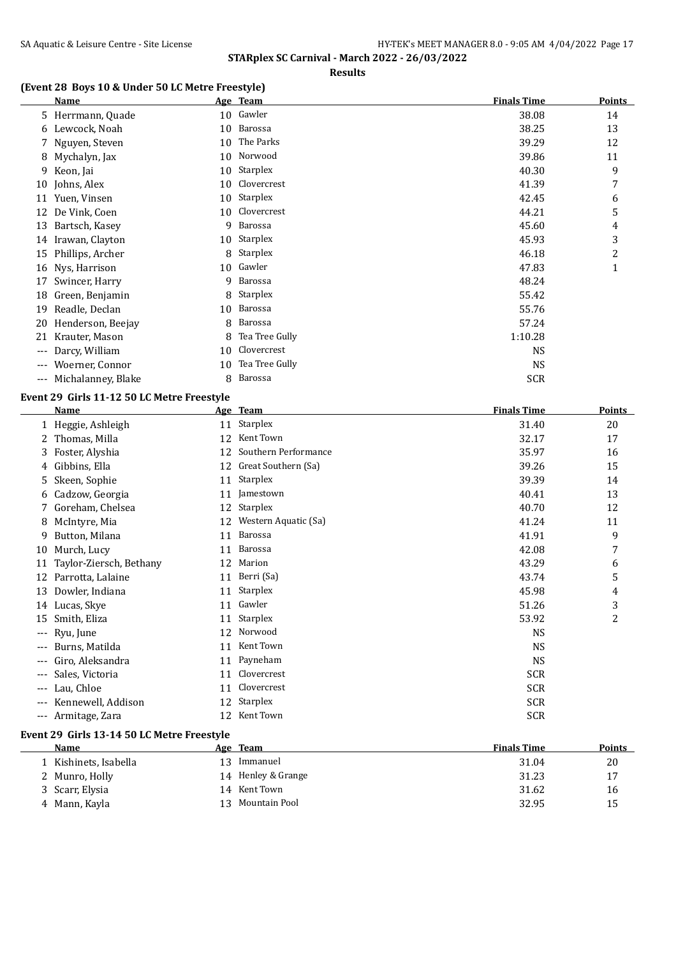### **Results**

# **(Event 28 Boys 10 & Under 50 LC Metre Freestyle)**

|       | Name               |    | Age Team        | <b>Finals Time</b> | <b>Points</b> |
|-------|--------------------|----|-----------------|--------------------|---------------|
|       | 5 Herrmann, Quade  | 10 | Gawler          | 38.08              | 14            |
| 6     | Lewcock, Noah      | 10 | Barossa         | 38.25              | 13            |
|       | 7 Nguyen, Steven   | 10 | The Parks       | 39.29              | 12            |
| 8     | Mychalyn, Jax      | 10 | Norwood         | 39.86              | 11            |
|       | 9 Keon, Jai        | 10 | Starplex        | 40.30              | 9             |
| 10    | Johns, Alex        | 10 | Clovercrest     | 41.39              | 7             |
| 11    | Yuen, Vinsen       | 10 | <b>Starplex</b> | 42.45              | 6             |
| 12    | De Vink, Coen      | 10 | Clovercrest     | 44.21              | 5             |
| 13    | Bartsch, Kasey     | 9  | Barossa         | 45.60              | 4             |
| 14    | Irawan, Clayton    | 10 | Starplex        | 45.93              | 3             |
| 15    | Phillips, Archer   | 8  | Starplex        | 46.18              | 2             |
| 16    | Nys, Harrison      | 10 | Gawler          | 47.83              | $\mathbf{1}$  |
| 17    | Swincer, Harry     | 9  | Barossa         | 48.24              |               |
| 18    | Green, Benjamin    | 8  | Starplex        | 55.42              |               |
| 19    | Readle, Declan     | 10 | Barossa         | 55.76              |               |
| 20    | Henderson, Beejay  | 8  | Barossa         | 57.24              |               |
| 21    | Krauter, Mason     | 8  | Tea Tree Gully  | 1:10.28            |               |
| ---   | Darcy, William     | 10 | Clovercrest     | <b>NS</b>          |               |
| $---$ | Woerner, Connor    | 10 | Tea Tree Gully  | <b>NS</b>          |               |
| ---   | Michalanney, Blake | 8  | Barossa         | <b>SCR</b>         |               |

## **Event 29 Girls 11-12 50 LC Metre Freestyle**

|                     | <b>Name</b>             |    | Age Team             | <b>Finals Time</b> | Points         |
|---------------------|-------------------------|----|----------------------|--------------------|----------------|
|                     | 1 Heggie, Ashleigh      | 11 | Starplex             | 31.40              | 20             |
|                     | 2 Thomas, Milla         | 12 | Kent Town            | 32.17              | 17             |
|                     | 3 Foster, Alyshia       | 12 | Southern Performance | 35.97              | 16             |
| 4                   | Gibbins, Ella           | 12 | Great Southern (Sa)  | 39.26              | 15             |
| 5                   | Skeen, Sophie           | 11 | Starplex             | 39.39              | 14             |
| 6                   | Cadzow, Georgia         | 11 | Jamestown            | 40.41              | 13             |
|                     | Goreham, Chelsea        | 12 | Starplex             | 40.70              | 12             |
| 8                   | McIntyre, Mia           | 12 | Western Aquatic (Sa) | 41.24              | 11             |
| 9                   | Button, Milana          | 11 | Barossa              | 41.91              | 9              |
| 10                  | Murch, Lucy             | 11 | <b>Barossa</b>       | 42.08              | 7              |
| 11                  | Taylor-Ziersch, Bethany | 12 | Marion               | 43.29              | 6              |
| 12                  | Parrotta, Lalaine       | 11 | Berri (Sa)           | 43.74              | 5              |
| 13                  | Dowler, Indiana         | 11 | Starplex             | 45.98              | 4              |
| 14                  | Lucas, Skye             | 11 | Gawler               | 51.26              | 3              |
| 15                  | Smith, Eliza            | 11 | Starplex             | 53.92              | $\overline{c}$ |
| ---                 | Ryu, June               | 12 | Norwood              | <b>NS</b>          |                |
| ---                 | Burns, Matilda          | 11 | Kent Town            | <b>NS</b>          |                |
| ---                 | Giro, Aleksandra        | 11 | Payneham             | <b>NS</b>          |                |
| $\qquad \qquad - -$ | Sales, Victoria         | 11 | Clovercrest          | <b>SCR</b>         |                |
| $---$               | Lau, Chloe              | 11 | Clovercrest          | <b>SCR</b>         |                |
| $---$               | Kennewell, Addison      | 12 | <b>Starplex</b>      | <b>SCR</b>         |                |
| ---                 | Armitage, Zara          | 12 | Kent Town            | <b>SCR</b>         |                |
|                     |                         |    |                      |                    |                |

## **Event 29 Girls 13-14 50 LC Metre Freestyle**

 $\overline{\phantom{a}}$ 

| <b>Name</b>           |    | <u>Age Team</u>    | <b>Finals Time</b> | <b>Points</b> |
|-----------------------|----|--------------------|--------------------|---------------|
| 1 Kishinets, Isabella | 13 | Immanuel           | 31.04              | 20            |
| 2 Munro, Holly        |    | 14 Henley & Grange | 31.23              | 17            |
| 3 Scarr, Elysia       | 14 | Kent Town          | 31.62              | 16            |
| 4 Mann, Kayla         | 13 | Mountain Pool      | 32.95              | 15            |
|                       |    |                    |                    |               |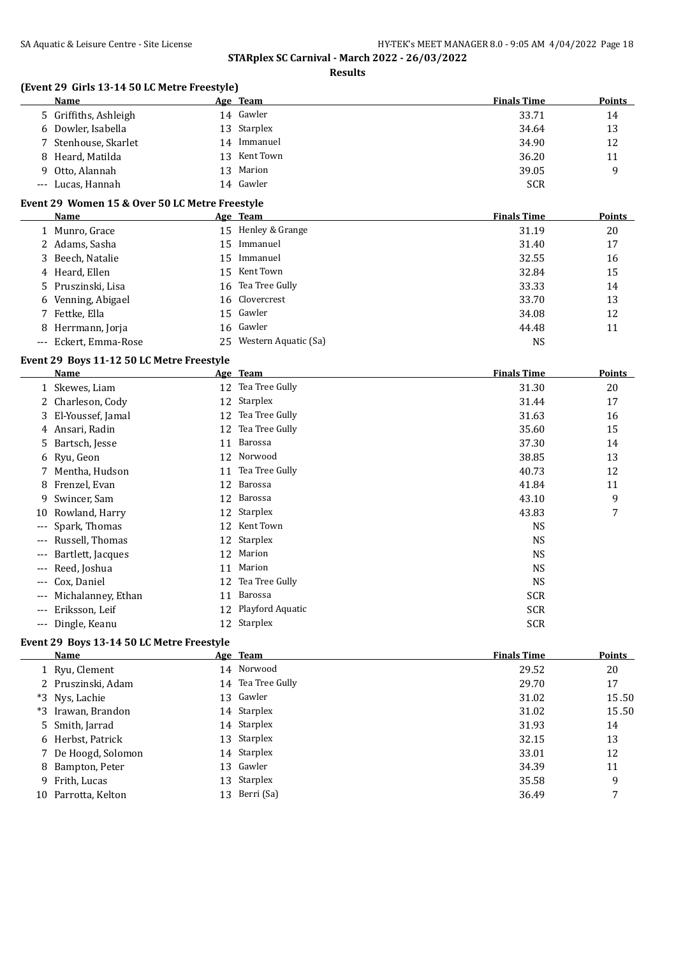**Results**

## **(Event 29 Girls 13-14 50 LC Metre Freestyle)**

| Name                  |     | Age Team     | <b>Finals Time</b> | Points |
|-----------------------|-----|--------------|--------------------|--------|
| 5 Griffiths, Ashleigh |     | 14 Gawler    | 33.71              | 14     |
| 6 Dowler, Isabella    |     | 13 Starplex  | 34.64              | 13     |
| 7 Stenhouse, Skarlet  |     | 14 Immanuel  | 34.90              | 12     |
| 8 Heard, Matilda      |     | 13 Kent Town | 36.20              | 11     |
| 9 Otto, Alannah       | 13. | Marion       | 39.05              | 9      |
| --- Lucas, Hannah     |     | 14 Gawler    | <b>SCR</b>         |        |

# **Event 29 Women 15 & Over 50 LC Metre Freestyle**

| Name                  | Age Team                | <b>Finals Time</b> | <b>Points</b> |
|-----------------------|-------------------------|--------------------|---------------|
| 1 Munro, Grace        | 15 Henley & Grange      | 31.19              | 20            |
| 2 Adams, Sasha        | 15 Immanuel             | 31.40              | 17            |
| 3 Beech, Natalie      | 15 Immanuel             | 32.55              | 16            |
| 4 Heard, Ellen        | 15 Kent Town            | 32.84              | 15            |
| 5 Pruszinski, Lisa    | 16 Tea Tree Gully       | 33.33              | 14            |
| 6 Venning, Abigael    | 16 Clovercrest          | 33.70              | 13            |
| 7 Fettke, Ella        | 15 Gawler               | 34.08              | 12            |
| 8 Herrmann, Jorja     | 16 Gawler               | 44.48              | 11            |
| --- Eckert. Emma-Rose | 25 Western Aquatic (Sa) | NS                 |               |

# **Event 29 Boys 11-12 50 LC Metre Freestyle**

|                     | Name                |    | Age Team         | <b>Finals Time</b> | Points |
|---------------------|---------------------|----|------------------|--------------------|--------|
|                     | 1 Skewes, Liam      | 12 | Tea Tree Gully   | 31.30              | 20     |
|                     | 2 Charleson, Cody   | 12 | Starplex         | 31.44              | 17     |
|                     | 3 El-Youssef, Jamal | 12 | Tea Tree Gully   | 31.63              | 16     |
|                     | 4 Ansari, Radin     | 12 | Tea Tree Gully   | 35.60              | 15     |
|                     | 5 Bartsch, Jesse    | 11 | Barossa          | 37.30              | 14     |
|                     | 6 Ryu, Geon         | 12 | Norwood          | 38.85              | 13     |
|                     | 7 Mentha, Hudson    | 11 | Tea Tree Gully   | 40.73              | 12     |
| 8                   | Frenzel, Evan       | 12 | Barossa          | 41.84              | 11     |
| 9.                  | Swincer, Sam        | 12 | Barossa          | 43.10              | 9      |
| 10                  | Rowland, Harry      | 12 | Starplex         | 43.83              | 7      |
| $---$               | Spark, Thomas       | 12 | Kent Town        | <b>NS</b>          |        |
| $---$               | Russell, Thomas     |    | 12 Starplex      | NS                 |        |
| $---$               | Bartlett, Jacques   | 12 | Marion           | <b>NS</b>          |        |
| $---$               | Reed, Joshua        | 11 | Marion           | <b>NS</b>          |        |
| $\qquad \qquad - -$ | Cox, Daniel         | 12 | Tea Tree Gully   | <b>NS</b>          |        |
| $---$               | Michalanney, Ethan  | 11 | Barossa          | <b>SCR</b>         |        |
| $---$               | Eriksson, Leif      | 12 | Playford Aquatic | <b>SCR</b>         |        |
| $---$               | Dingle, Keanu       |    | 12 Starplex      | <b>SCR</b>         |        |

## **Event 29 Boys 13-14 50 LC Metre Freestyle**

| Name                | Age Team          | <b>Finals Time</b> | Points |
|---------------------|-------------------|--------------------|--------|
| 1 Ryu, Clement      | 14 Norwood        | 29.52              | 20     |
| 2 Pruszinski, Adam  | 14 Tea Tree Gully | 29.70              | 17     |
| *3 Nys, Lachie      | 13 Gawler         | 31.02              | 15.50  |
| *3 Irawan, Brandon  | 14 Starplex       | 31.02              | 15.50  |
| 5 Smith, Jarrad     | 14 Starplex       | 31.93              | 14     |
| 6 Herbst, Patrick   | 13 Starplex       | 32.15              | 13     |
| 7 De Hoogd, Solomon | 14 Starplex       | 33.01              | 12     |
| 8 Bampton, Peter    | 13 Gawler         | 34.39              | 11     |
| 9 Frith, Lucas      | 13 Starplex       | 35.58              | 9      |
| 10 Parrotta, Kelton | 13 Berri (Sa)     | 36.49              | 7      |
|                     |                   |                    |        |